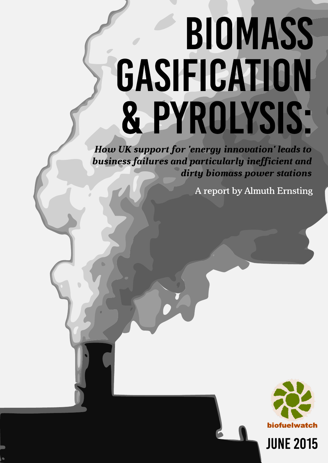# **BIOMASS** GASIFICATION & PYROLYSIS:

**How UK support for 'energy innovation' leads to** business failures and particularly inefficient and dirty biomass power stations

A report by Almuth Ernsting



**JUNE 2015**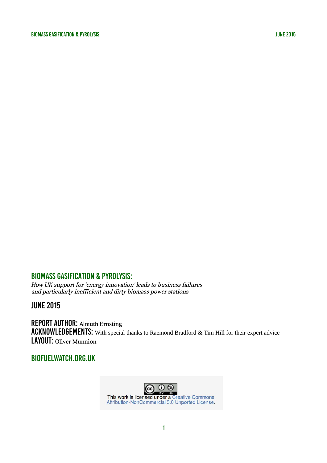How UK support for 'energy innovation' leads to business failures and particularly inefficient and dirty biomass power stations

june 2015

REPORT AUTHOR: Almuth Ernsting ACKNOWLEDGEMENTS: With special thanks to Raemond Bradford & Tim Hill for their expert advice LAYOUT: Oliver Munnion

### biofuelwatch.org.uk

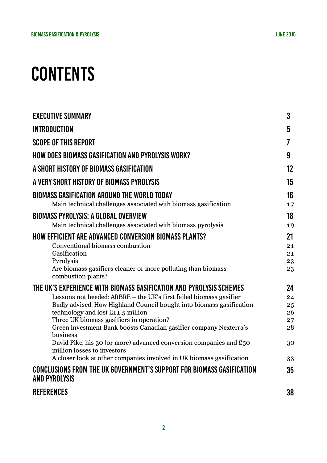# **CONTENTS**

| <b>EXECUTIVE SUMMARY</b>                                                                                      | 3        |
|---------------------------------------------------------------------------------------------------------------|----------|
| <b>INTRODUCTION</b>                                                                                           | 5        |
| <b>SCOPE OF THIS REPORT</b>                                                                                   | 7        |
| <b>HOW DOES BIOMASS GASIFICATION AND PYROLYSIS WORK?</b>                                                      | 9        |
| A SHORT HISTORY OF BIOMASS GASIFICATION                                                                       | 12       |
| A VERY SHORT HISTORY OF BIOMASS PYROLYSIS                                                                     | 15       |
| BIOMASS GASIFICATION AROUND THE WORLD TODAY                                                                   | 16       |
| Main technical challenges associated with biomass gasification                                                | 17       |
| <b>BIOMASS PYROLYSIS: A GLOBAL OVERVIEW</b>                                                                   | 18       |
| Main technical challenges associated with biomass pyrolysis                                                   | 19       |
| <b>HOW EFFICIENT ARE ADVANCED CONVERSION BIOMASS PLANTS?</b>                                                  | 21       |
| Conventional biomass combustion                                                                               | 21       |
| Gasification                                                                                                  | 21       |
| Pyrolysis                                                                                                     | 23       |
| Are biomass gasifiers cleaner or more polluting than biomass<br>combustion plants?                            | 23       |
| THE UK'S EXPERIENCE WITH BIOMASS GASIFICATION AND PYROLYSIS SCHEMES                                           | 24       |
| Lessons not heeded: ARBRE – the UK's first failed biomass gasifier                                            | 24       |
| Badly advised: How Highland Council bought into biomass gasification                                          | 25       |
| technology and lost £11.5 million                                                                             | 26       |
| Three UK biomass gasifiers in operation?<br>Green Investment Bank boosts Canadian gasifier company Nexterra's | 27<br>28 |
| business                                                                                                      |          |
| David Pike, his 30 (or more) advanced conversion companies and £50<br>million losses to investors             | 30       |
| A closer look at other companies involved in UK biomass gasification                                          | 33       |
| <b>CONCLUSIONS FROM THE UK GOVERNMENT'S SUPPORT FOR BIOMASS GASIFICATION</b><br><b>AND PYROLYSIS</b>          | 35       |
| <b>REFERENCES</b>                                                                                             | 38       |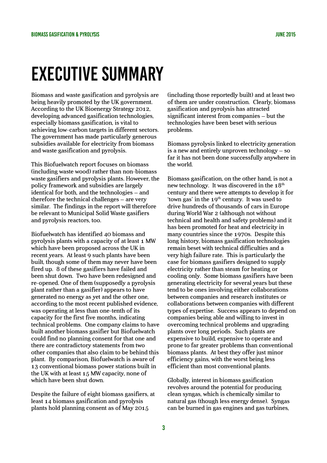# Executive Summary

Biomass and waste gasification and pyrolysis are being heavily promoted by the UK government. According to the UK Bioenergy Strategy 2012, developing advanced gasification technologies, especially biomass gasification, is vital to achieving low-carbon targets in different sectors. The government has made particularly generous subsidies available for electricity from biomass and waste gasification and pyrolysis.

This Biofuelwatch report focuses on biomass (including waste wood) rather than non-biomass waste gasifiers and pyrolysis plants. However, the policy framework and subsidies are largely identical for both, and the technologies – and therefore the technical challenges – are very similar. The findings in the report will therefore be relevant to Municipal Solid Waste gasifiers and pyrolysis reactors, too.

Biofuelwatch has identified 40 biomass and pyrolysis plants with a capacity of at least 1 MW which have been proposed across the UK in recent years. At least 9 such plants have been built, though some of them may never have been fired up. 8 of these gasifiers have failed and been shut down. Two have been redesigned and re-opened. One of them (supposedly a pyrolysis plant rather than a gasifier) appears to have generated no energy as yet and the other one, according to the most recent published evidence, was operating at less than one-tenth of its capacity for the first five months, indicating technical problems. One company claims to have built another biomass gasifier but Biofuelwatch could find no planning consent for that one and there are contradictory statements from two other companies that also claim to be behind this plant. By comparison, Biofuelwatch is aware of 13 conventional biomass power stations built in the UK with at least 15 MW capacity, none of which have been shut down.

Despite the failure of eight biomass gasifiers, at least 14 biomass gasification and pyrolysis plants hold planning consent as of May 2015

(including those reportedly built) and at least two of them are under construction. Clearly, biomass gasification and pyrolysis has attracted significant interest from companies – but the technologies have been beset with serious problems.

Biomass pyrolysis linked to electricity generation is a new and entirely unproven technology – so far it has not been done successfully anywhere in the world.

Biomass gasification, on the other hand, is not a new technology. It was discovered in the  $18<sup>th</sup>$ century and there were attempts to develop it for 'town gas' in the  $19<sup>th</sup>$  century. It was used to drive hundreds of thousands of cars in Europe during World War 2 (although not without technical and health and safety problems) and it has been promoted for heat and electricity in many countries since the 1970s. Despite this long history, biomass gasification technologies remain beset with technical difficulties and a very high failure rate. This is particularly the case for biomass gasifiers designed to supply electricity rather than steam for heating or cooling only. Some biomass gasifiers have been generating electricity for several years but these tend to be ones involving either collaborations between companies and research institutes or collaborations between companies with different types of expertise. Success appears to depend on companies being able and willing to invest in overcoming technical problems and upgrading plants over long periods. Such plants are expensive to build, expensive to operate and prone to far greater problems than conventional biomass plants. At best they offer just minor efficiency gains, with the worst being less efficient than most conventional plants.

Globally, interest in biomass gasification revolves around the potential for producing clean syngas, which is chemically similar to natural gas (though less energy dense). Syngas can be burned in gas engines and gas turbines,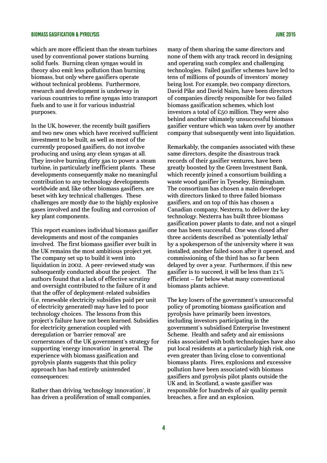which are more efficient than the steam turbines used by conventional power stations burning solid fuels. Burning clean syngas would in theory also emit less pollution than burning biomass, but only where gasifiers operate without technical problems. Furthermore, research and development is underway in various countries to refine syngas into transport fuels and to use it for various industrial purposes.

In the UK, however, the recently built gasifiers and two new ones which have received sufficient investment to be built, as well as most of the currently proposed gasifiers, do not involve producing and using any clean syngas at all. They involve burning dirty gas to power a steam turbine, in particularly inefficient plants. These developments consequently make no meaningful contribution to any technology developments worldwide and, like other biomass gasifiers, are beset with key technical challenges. These challenges are mostly due to the highly explosive gases involved and the fouling and corrosion of key plant components.

This report examines individual biomass gasifier developments and most of the companies involved. The first biomass gasifier ever built in the UK remains the most ambitious project yet. The company set up to build it went into liquidation in 2002. A peer-reviewed study was subsequently conducted about the project. The authors found that a lack of effective scrutiny and oversight contributed to the failure of it and that the offer of deployment-related subsidies (i.e. renewable electricity subsidies paid per unit of electricity generated) may have led to poor technology choices. The lessons from this project's failure have not been learned. Subsidies for electricity generation coupled with deregulation or 'barrier removal' are cornerstones of the UK government's strategy for supporting 'energy innovation' in general. The experience with biomass gasification and pyrolysis plants suggests that this policy approach has had entirely unintended consequences:

Rather than driving 'technology innovation', it has driven a proliferation of small companies,

many of them sharing the same directors and none of them with any track record in designing and operating such complex and challenging technologies. Failed gasifier schemes have led to tens of millions of pounds of investors' money being lost. For example, two company directors, David Pike and David Nairn, have been directors of companies directly responsible for two failed biomass gasification schemes, which lost investors a total of £50 million. They were also behind another ultimately unsuccessful biomass gasifier venture which was taken over by another company that subsequently went into liquidation.

Remarkably, the companies associated with these same directors, despite the disastrous track records of their gasifier ventures, have been greatly boosted by the Green Investment Bank, which recently joined a consortium building a waste wood gasifier in Tyeseley, Birmingham. The consortium has chosen a main developer with directors linked to three failed biomass gasifiers, and on top of this has chosen a Canadian company, Nexterra, to deliver the key technology. Nexterra has built three biomass gasification power plants to date, and not a singel one has been successful. One was closed after three accidents described as 'potentially lethal' by a spokesperson of the university where it was installed, another failed soon after it opened, and commissioning of the third has so far been delayed by over a year. Furthermore, if this new gasifier is to succeed, it will be less than 21% efficient – far below what many conventional biomass plants achieve.

The key losers of the government's unsuccessful policy of promoting biomass gasification and pyrolysis have primarily been investors, including investors participating in the government's subsidised Enterprise Investment Scheme. Health and safety and air emissions risks associated with both technologies have also put local residents at a particularly high risk, one even greater than living close to conventional biomass plants. Fires, explosions and excessive pollution have been associated with biomass gasifiers and pyrolysis pilot plants outside the UK and, in Scotland, a waste gasifier was responsible for hundreds of air quality permit breaches, a fire and an explosion.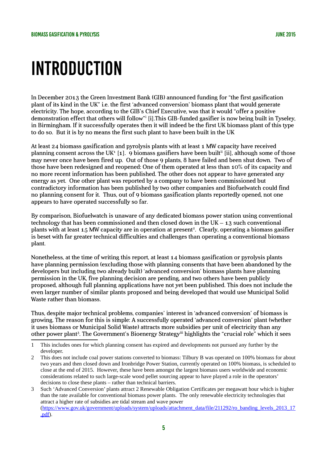# **INTRODUCTION**

In December 2013 the Green Investment Bank (GIB) announced funding for "the first gasification plant of its kind in the UK" i.e. the first 'advanced conversion' biomass plant that would generate electricity. The hope, according to the GIB's Chief Executive, was that it would "offer a positive demonstration effect that others will follow"<sup>i</sup> [i].This GIB-funded gasifier is now being built in Tyseley, in Birmingham. If it successfully operates then it will indeed be the first UK biomass plant of this type to do so. But it is by no means the first such plant to have been built in the UK

At least 24 biomass gasification and pyrolysis plants with at least 1 MW capacity have received planning consent across the UK $^{\rm t}$  [[1](#page-5-0)].  $\,$  9 biomass gasifiers have been built $^{\rm ii}$  [ii], although some of those may never once have been fired up. Out of those 9 plants, 8 have failed and been shut down. Two of those have been redesigned and reopened: One of them operated at less than 10% of its capacity and no more recent information has been published. The other does not appear to have generated any energy as yet. One other plant was reported by a company to have been commissioned but contradictory information has been published by two other companies and Biofuelwatch could find no planning consent for it. Thus, out of 9 biomass gasification plants reportedly opened, not one appears to have operated successfully so far.

By comparison, Biofuelwatch is unaware of any dedicated biomass power station using conventional technology that has been commissioned and then closed down in the UK  $-$  13 such conventional plants with at least 15 MW capacity are in operation at present<sup>[2](#page-5-1)</sup>. Clearly, operating a biomass gasifier is beset with far greater technical difficulties and challenges than operating a conventional biomass plant.

Nonetheless, at the time of writing this report, at least 14 biomass gasification or pyrolysis plants have planning permission (excluding those with planning consents that have been abandoned by the developers but including two already built) 'advanced conversion' biomass plants have planning permission in the UK, five planning decision are pending, and two others have been publicly proposed, although full planning applications have not yet been published. This does not include the even larger number of similar plants proposed and being developed that would use Municipal Solid Waste rather than biomass.

Thus, despite major technical problems, companies' interest in 'advanced conversion' of biomass is growing. The reason for this is simple: A successfully operated 'advanced conversion' plant (whether it uses biomass or Municipal Solid Waste) attracts more subsidies per unit of electricity than any other power plant<sup>[3](#page-5-2)</sup>. The Government's Bioenergy Strategy<sup>iii</sup> highlights the "crucial role" which it sees

<span id="page-5-0"></span><sup>1</sup> This includes ones for which planning consent has expired and developments not pursued any further by the developer.

<span id="page-5-1"></span><sup>2</sup> This does not include coal power stations converted to biomass: Tilbury B was operated on 100% biomass for about two years and then closed down and Ironbridge Power Station, currently operated on 100% biomass, is scheduled to close at the end of 2015. However, these have been amongst the largest biomass users worldwide and economic considerations related to such large-scale wood pellet sourcing appear to have played a role in the operators' decisions to close these plants – rather than technical barriers.

<span id="page-5-2"></span><sup>3</sup> Such 'Advanced Conversion' plants attract 2 Renewable Obligation Certificates per megawatt hour which is higher than the rate available for conventional biomass power plants. The only renewable electricity technologies that attract a higher rate of subsidies are tidal stream and wave power [\(https://www.gov.uk/government/uploads/system/uploads/attachment\\_data/file/211292/ro\\_banding\\_levels\\_2013\\_17](https://www.gov.uk/government/uploads/system/uploads/attachment_data/file/211292/ro_banding_levels_2013_17.pdf) [.pdf\)](https://www.gov.uk/government/uploads/system/uploads/attachment_data/file/211292/ro_banding_levels_2013_17.pdf).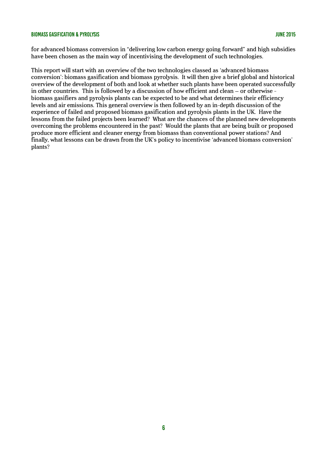for advanced biomass conversion in "delivering low carbon energy going forward" and high subsidies have been chosen as the main way of incentivising the development of such technologies.

This report will start with an overview of the two technologies classed as 'advanced biomass conversion': biomass gasification and biomass pyrolysis. It will then give a brief global and historical overview of the development of both and look at whether such plants have been operated successfully in other countries. This is followed by a discussion of how efficient and clean – or otherwise biomass gasifiers and pyrolysis plants can be expected to be and what determines their efficiency levels and air emissions. This general overview is then followed by an in-depth discussion of the experience of failed and proposed biomass gasification and pyrolysis plants in the UK. Have the lessons from the failed projects been learned? What are the chances of the planned new developments overcoming the problems encountered in the past? Would the plants that are being built or proposed produce more efficient and cleaner energy from biomass than conventional power stations? And finally, what lessons can be drawn from the UK's policy to incentivise 'advanced biomass conversion' plants?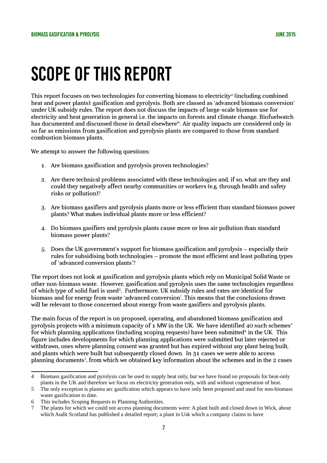# Scope of this report

This report focuses on two technologies for converting biomass to electricity<sup>[4](#page-7-0)</sup> (including combined heat and power plants): gasification and pyrolysis. Both are classed as 'advanced biomass conversion' under UK subsidy rules. The report does not discuss the impacts of large-scale biomass use for electricity and heat generation in general i.e. the impacts on forests and climate change. Biofuelwatch has documented and discussed those in detail elsewhere<sup>iv</sup>. Air quality impacts are considered only in so far as emissions from gasification and pyrolysis plants are compared to those from standard combustion biomass plants.

We attempt to answer the following questions:

- 1. Are biomass gasification and pyrolysis proven technologies?
- 2. Are there technical problems associated with these technologies and, if so, what are they and could they negatively affect nearby communities or workers (e.g. through health and safety risks or pollution)?
- 3. Are biomass gasifiers and pyrolysis plants more or less efficient than standard biomass power plants? What makes individual plants more or less efficient?
- 4. Do biomass gasifiers and pyrolysis plants cause more or less air pollution than standard biomass power plants?
- 5. Does the UK government's support for biomass gasification and pyrolysis especially their rules for subsidising both technologies – promote the most efficient and least polluting types of 'advanced conversion plants'?

The report does not look at gasification and pyrolysis plants which rely on Municipal Solid Waste or other non-biomass waste. However, gasification and pyrolysis uses the same technologies regardless of which type of solid fuel is used<sup>[5](#page-7-1)</sup>. Furthermore, UK subsidy rules and rates are identical for biomass and for energy from waste 'advanced conversion'. This means that the conclusions drawn will be relevant to those concerned about energy from waste gasifiers and pyrolysis plants.

The main focus of the report is on proposed, operating, and abandoned biomass gasification and pyrolysis projects with a minimum capacity of  $\boldsymbol{\cdot}$  MW in the UK. We have identified 40 such schemes<sup>v</sup> for which planning applications (including scoping requests) have been submitted $^6$  $^6$  in the UK. This figure includes developments for which planning applications were submitted but later rejected or withdrawn, ones where planning consent was granted but has expired without any plant being built, and plants which were built but subsequently closed down. In 31 cases we were able to access planning documents<sup>[7](#page-7-3)</sup>, from which we obtained key information about the schemes and in the 2 cases

<span id="page-7-0"></span><sup>4</sup> Biomass gasification and pyrolysis can be used to supply heat only, but we have found no proposals for heat-only plants in the UK and therefore we focus on electricity generation only, with and without cogeneration of heat.

<span id="page-7-1"></span><sup>5</sup> The only exception is plasma arc gasification which appears to have only been proposed and used for non-biomass waste gasification to date.

<span id="page-7-2"></span><sup>6</sup> This includes Scoping Requests to Planning Authorities.

<span id="page-7-3"></span><sup>7</sup> The plants for which we could not access planning documents were: A plant built and closed down in Wick, about which Audit Scotland has published a detailed report; a plant in Usk which a company claims to have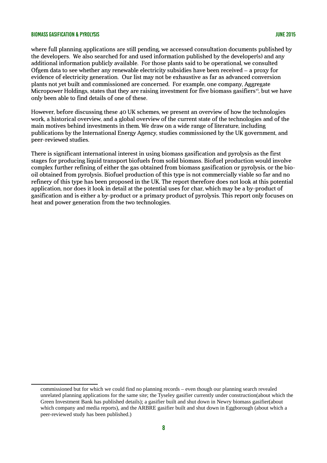where full planning applications are still pending, we accessed consultation documents published by the developers. We also searched for and used information published by the developer(s) and any additional information publicly available. For those plants said to be operational, we consulted Ofgem data to see whether any renewable electricity subsidies have been received – a proxy for evidence of electricity generation. Our list may not be exhaustive as far as advanced conversion plants not yet built and commissioned are concerned. For example, one company, Aggregate Micropower Holdings, states that they are raising investment for five biomass gasifiers<sup>vi</sup>, but we have only been able to find details of one of these.

However, before discussing these 40 UK schemes, we present an overview of how the technologies work, a historical overview, and a global overview of the current state of the technologies and of the main motives behind investments in them. We draw on a wide range of literature, including publications by the International Energy Agency, studies commissioned by the UK government, and peer-reviewed studies.

There is significant international interest in using biomass gasification and pyrolysis as the first stages for producing liquid transport biofuels from solid biomass. Biofuel production would involve complex further refining of either the gas obtained from biomass gasification or pyrolysis, or the biooil obtained from pyrolysis. Biofuel production of this type is not commercially viable so far and no refinery of this type has been proposed in the UK. The report therefore does not look at this potential application, nor does it look in detail at the potential uses for char, which may be a by-product of gasification and is either a by-product or a primary product of pyrolysis. This report only focuses on heat and power generation from the two technologies.

commissioned but for which we could find no planning records – even though our planning search revealed unrelated planning applications for the same site; the Tyseley gasifier currently under construction(about which the Green Investment Bank has published details); a gasifier built and shut down in Newry biomass gasifier(about which company and media reports), and the ARBRE gasifier built and shut down in Eggborough (about which a peer-reviewed study has been published.)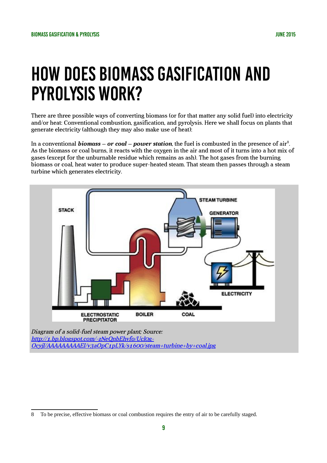# How does biomass gasification and pyrolysis work?

There are three possible ways of converting biomass (or for that matter any solid fuel) into electricity and/or heat: Conventional combustion, gasification, and pyrolysis. Here we shall focus on plants that generate electricity (although they may also make use of heat):

In a conventional **biomass – or coal – power station**, the fuel is combusted in the presence of air<sup>[8](#page-9-0)</sup>. As the biomass or coal burns, it reacts with the oxygen in the air and most of it turns into a hot mix of gases (except for the unburnable residue which remains as ash). The hot gases from the burning biomass or coal, heat water to produce super-heated steam. That steam then passes through a steam turbine which generates electricity.



<span id="page-9-0"></span><sup>8</sup> To be precise, effective biomass or coal combustion requires the entry of air to be carefully staged.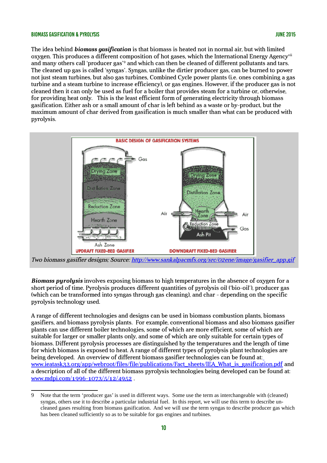The idea behind *biomass gasification* is that biomass is heated not in normal air, but with limited oxygen. This produces a different composition of hot gases, which the International Energy Agencyvii and many others call 'producer gas'<sup>[9](#page-10-0)</sup> and which can then be cleaned of different pollutants and tars. The cleaned up gas is called 'syngas'. Syngas, unlike the dirtier producer gas, can be burned to power not just steam turbines, but also gas turbines, Combined Cycle power plants (i.e. ones combining a gas turbine and a steam turbine to increase efficiency), or gas engines. However, if the producer gas is not cleaned then it can only be used as fuel for a boiler that provides steam for a turbine or, otherwise, for providing heat only. This is the least efficient form of generating electricity through biomass gasification. Either ash or a small amount of char is left behind as a waste or by-product, but the maximum amount of char derived from gasification is much smaller than what can be produced with pyrolysis.



Two biomass gasifier designs; Source: [http://www.sankalpacmfs.org/src/02ene/image/gasifier\\_app.gif](http://www.sankalpacmfs.org/src/02ene/image/gasifier_app.gif)

*Biomass pyrolysis* involves exposing biomass to high temperatures in the absence of oxygen for a short period of time. Pyrolysis produces different quantities of pyrolysis oil ('bio-oil'), producer gas (which can be transformed into syngas through gas cleaning), and char - depending on the specific pyrolysis technology used.

A range of different technologies and designs can be used in biomass combustion plants, biomass gasifiers, and biomass pyrolysis plants. For example, conventional biomass and also biomass gasifier plants can use different boiler technologies, some of which are more efficient, some of which are suitable for larger or smaller plants only, and some of which are only suitable for certain types of biomass. Different pyrolysis processes are distinguished by the temperatures and the length of time for which biomass is exposed to heat. A range of different types of pyrolysis plant technologies are being developed. An overview of different biomass gasifier technologies can be found at[:](http://www.ieatask33.org/app/webroot/files/file/publications/Fact_sheets/IEA_What_is_gasification.pdf) [www.ieatask33.org/app/webroot/files/file/publications/Fact\\_sheets/IEA\\_What\\_is\\_gasification.pdf](http://www.ieatask33.org/app/webroot/files/file/publications/Fact_sheets/IEA_What_is_gasification.pdf) and a description of all of the different biomass pyrolysis technologies being developed can be found at: [www.mdpi.com/1996-1073/5/12/4952](http://www.mdpi.com/1996-1073/5/12/4952) .

<span id="page-10-0"></span><sup>9</sup> Note that the term 'producer gas' is used in different ways. Some use the term as interchangeable with (cleaned) syngas, others use it to describe a particular industrial fuel. In this report, we will use this term to describe uncleaned gases resulting from biomass gasification. And we will use the term syngas to describe producer gas which has been cleaned sufficiently so as to be suitable for gas engines and turbines.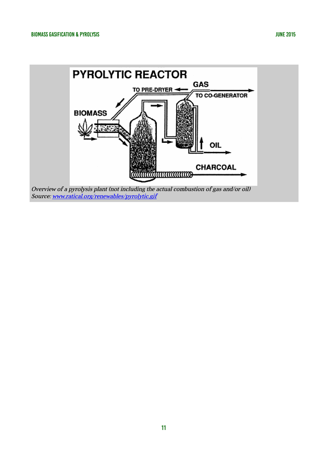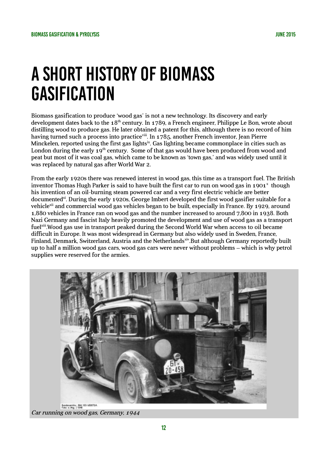# A short history of biomass **GASIFICATION**

Biomass gasification to produce 'wood gas' is not a new technology. Its discovery and early development dates back to the  $18<sup>th</sup>$  century. In 1789, a French engineer, Philippe Le Bon, wrote about distilling wood to produce gas. He later obtained a patent for this, although there is no record of him having turned such a process into practice<sup>viii</sup>. In 1785, another French inventor, Jean Pierre Minckelen, reported using the first gas lights<sup>ix</sup>. Gas lighting became commonplace in cities such as London during the early  $19<sup>th</sup>$  century. Some of that gas would have been produced from wood and peat but most of it was coal gas, which came to be known as 'town gas,' and was widely used until it was replaced by natural gas after World War 2.

From the early 1920s there was renewed interest in wood gas, this time as a transport fuel. The British inventor Thomas Hugh Parker is said to have built the first car to run on wood gas in 1901 $^{\mathrm{x}}$  though his invention of an oil-burning steam powered car and a very first electric vehicle are better documented<sup>xi</sup>. During the early 1920s, George Imbert developed the first wood gasifier suitable for a vehiclexii and commercial wood gas vehicles began to be built, especially in France. By 1929, around 1,880 vehicles in France ran on wood gas and the number increased to around 7,800 in 1938. Both Nazi Germany and fascist Italy heavily promoted the development and use of wood gas as a transport fuelxiii.Wood gas use in transport peaked during the Second World War when access to oil became difficult in Europe. It was most widespread in Germany but also widely used in Sweden, France, Finland, Denmark, Switzerland, Austria and the Netherlandsxiv.But although Germany reportedly built up to half a million wood gas cars, wood gas cars were never without problems – which is why petrol supplies were reserved for the armies.



Car running on wood gas, Germany, 1944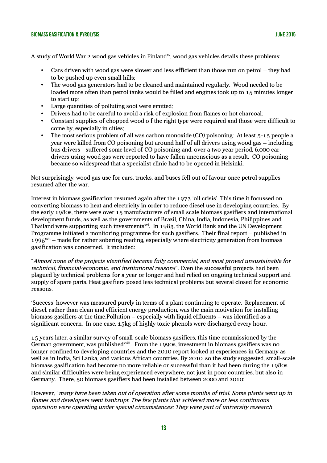A study of World War 2 wood gas vehicles in Finland<sup>xv</sup>, wood gas vehicles details these problems:

- Cars driven with wood gas were slower and less efficient than those run on petrol they had to be pushed up even small hills;
- The wood gas generators had to be cleaned and maintained regularly. Wood needed to be loaded more often than petrol tanks would be filled and engines took up to 15 minutes longer to start up;
- Large quantities of polluting soot were emitted;
- Drivers had to be careful to avoid a risk of explosion from flames or hot charcoal;
- Constant supplies of chopped wood o f the right type were required and those were difficult to come by, especially in cities;
- The most serious problem of all was carbon monoxide (CO) poisoning: At least 5-15 people a year were killed from CO poisoning but around half of all drivers using wood gas – including bus drivers - suffered some level of CO poisoning and, over a two year period, 6,000 car drivers using wood gas were reported to have fallen unconscious as a result. CO poisoning became so widespread that a specialist clinic had to be opened in Helsinki.

Not surprisingly, wood gas use for cars, trucks, and buses fell out of favour once petrol supplies resumed after the war.

Interest in biomass gasification resumed again after the 1973 'oil crisis'. This time it focussed on converting biomass to heat and electricity in order to reduce diesel use in developing countries. By the early 1980s, there were over 15 manufacturers of small scale biomass gasifiers and international development funds, as well as the governments of Brazil, China, India, Indonesia, Philippines and Thailand were supporting such investments<sup>xvi</sup>. In 1983, the World Bank and the UN Development Programme initiated a monitoring programme for such gasifiers. Their final report – published in  $1995<sup>xyi</sup>$  – made for rather sobering reading, especially where electricity generation from biomass gasification was concerned. It included:

"Almost none of the projects identified became fully commercial, and most proved unsustainable for technical, financial/economic, and institutional reasons". Even the successful projects had been plagued by technical problems for a year or longer and had relied on ongoing technical support and supply of spare parts. Heat gasifiers posed less technical problems but several closed for economic reasons.

'Success' however was measured purely in terms of a plant continuing to operate. Replacement of diesel, rather than clean and efficient energy production, was the main motivation for installing biomass gasifiers at the time.Pollution – especially with liquid effluents – was identified as a significant concern. In one case, 15kg of highly toxic phenols were discharged every hour.

15 years later, a similar survey of small-scale biomass gasifiers, this time commissioned by the German government, was published<sup> $x$ iii</sup>. From the 1990s, investment in biomass gasifiers was no longer confined to developing countries and the 2010 report looked at experiences in Germany as well as in India, Sri Lanka, and various African countries. By 2010, so the study suggested, small-scale biomass gasification had become no more reliable or successful than it had been during the 1980s and similar difficulties were being experienced everywhere, not just in poor countries, but also in Germany. There, 50 biomass gasifiers had been installed between 2000 and 2010:

However, "many have been taken out of operation after some months of trial. Some plants went up in flames and developers went bankrupt. The few plants that achieved more or less continuous operation were operating under special circumstances: They were part of university research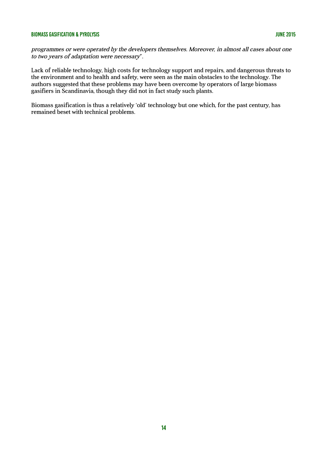programmes or were operated by the developers themselves. Moreover, in almost all cases about one to two years of adaptation were necessary".

Lack of reliable technology, high costs for technology support and repairs, and dangerous threats to the environment and to health and safety, were seen as the main obstacles to the technology. The authors suggested that these problems may have been overcome by operators of large biomass gasifiers in Scandinavia, though they did not in fact study such plants.

Biomass gasification is thus a relatively 'old' technology but one which, for the past century, has remained beset with technical problems.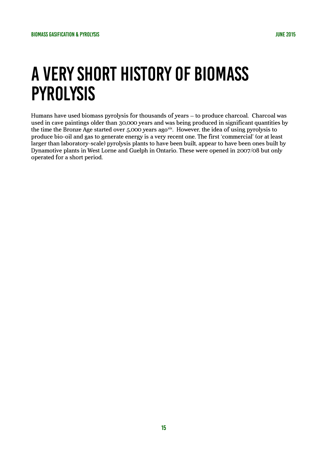# A very short history of biomass pyrolysis

Humans have used biomass pyrolysis for thousands of years – to produce charcoal. Charcoal was used in cave paintings older than 30,000 years and was being produced in significant quantities by the time the Bronze Age started over 5,000 years agoxix. However, the idea of using pyrolysis to produce bio-oil and gas to generate energy is a very recent one. The first 'commercial' (or at least larger than laboratory-scale) pyrolysis plants to have been built, appear to have been ones built by Dynamotive plants in West Lorne and Guelph in Ontario. These were opened in 2007/08 but only operated for a short period.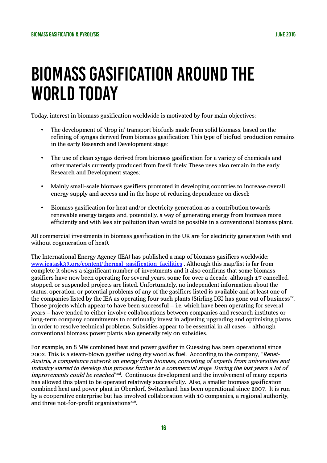# Biomass gasification around the world today

Today, interest in biomass gasification worldwide is motivated by four main objectives:

- The development of 'drop in' transport biofuels made from solid biomass, based on the refining of syngas derived from biomass gasification: This type of biofuel production remains in the early Research and Development stage;
- The use of clean syngas derived from biomass gasification for a variety of chemicals and other materials currently produced from fossil fuels: These uses also remain in the early Research and Development stages;
- Mainly small-scale biomass gasifiers promoted in developing countries to increase overall energy supply and access and in the hope of reducing dependence on diesel;
- Biomass gasification for heat and/or electricity generation as a contribution towards renewable energy targets and, potentially, a way of generating energy from biomass more efficiently and with less air pollution than would be possible in a conventional biomass plant.

All commercial investments in biomass gasification in the UK are for electricity generation (with and without cogeneration of heat).

The International Energy Agency (IEA) has published a map of biomass gasifiers worldwide: [www.ieatask33.org/content/thermal\\_gasification\\_facilities](http://www.ieatask33.org/content/thermal_gasification_facilities) . Although this map/list is far from complete it shows a significant number of investments and it also confirms that some biomass gasifiers have now been operating for several years, some for over a decade, although 17 cancelled, stopped, or suspended projects are listed. Unfortunately, no independent information about the status, operation, or potential problems of any of the gasifiers listed is available and at least one of the companies listed by the IEA as operating four such plants (Stirling DK) has gone out of business $^{\mathrm{xx}}$ . Those projects which appear to have been successful  $-$  i.e. which have been operating for several years – have tended to either involve collaborations between companies and research institutes or long-term company commitments to continually invest in adjusting upgrading and optimising plants in order to resolve technical problems. Subsidies appear to be essential in all cases – although conventional biomass power plants also generally rely on subsidies.

For example, an 8 MW combined heat and power gasifier in Guessing has been operational since 2002. This is a steam-blown gasifier using dry wood as fuel. According to the company, "Renet-Austria, a competence network on energy from biomass, consisting of experts from universities and industry started to develop this process further to a commercial stage. During the last years a lot of improvements could be reached"<sup>xxi</sup>. Continuous development and the involvement of many experts has allowed this plant to be operated relatively successfully. Also, a smaller biomass gasification combined heat and power plant in Oberdorf, Switzerland, has been operational since 2007. It is run by a cooperative enterprise but has involved collaboration with 10 companies, a regional authority, and three not-for-profit organisations<sup>xxii</sup>.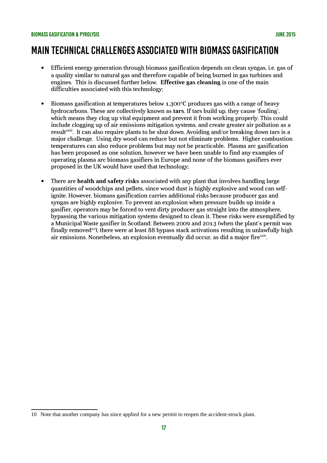### Main technical challenges associated with biomass gasification

- Efficient energy generation through biomass gasification depends on clean syngas, i.e. gas of a quality similar to natural gas and therefore capable of being burned in gas turbines and engines. This is discussed further below. **Effective gas cleaning** is one of the main difficulties associated with this technology;
- $\bullet$  Biomass gasification at temperatures below 1,300°C produces gas with a range of heavy hydrocarbons. These are collectively known as **tars**. If tars build up, they cause 'fouling', which means they clog up vital equipment and prevent it from working properly. This could include clogging up of air emissions mitigation systems, and create greater air pollution as a result<sup>xxiii</sup>. It can also require plants to be shut down. Avoiding and/or breaking down tars is a major challenge. Using dry wood can reduce but not eliminate problems. Higher combustion temperatures can also reduce problems but may not be practicable. Plasma arc gasification has been proposed as one solution, however we have been unable to find any examples of operating plasma arc biomass gasifiers in Europe and none of the biomass gasifiers ever proposed in the UK would have used that technology;
- There are **health and safety risks** associated with any plant that involves handling large quantities of woodchips and pellets, since wood dust is highly explosive and wood can selfignite. However, biomass gasification carries additional risks because producer gas and syngas are highly explosive. To prevent an explosion when pressure builds up inside a gasifier, operators may be forced to vent dirty producer gas straight into the atmosphere, bypassing the various mitigation systems designed to clean it. These risks were exemplified by a Municipal Waste gasifier in Scotland: Between 2009 and 2013 (when the plant's permit was finally removed<sup>[10](#page-17-0)</sup>), there were at least 88 bypass stack activations resulting in unlawfully high air emissions. Nonetheless, an explosion eventually did occur, as did a major fire<sup>xxiv</sup>.

<span id="page-17-0"></span><sup>10</sup> Note that another company has since applied for a new permit to reopen the accident-struck plant.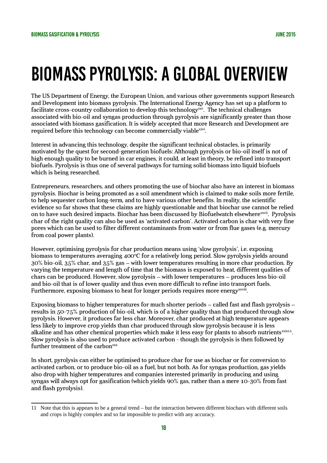# Biomass pyrolysis: A global overview

The US Department of Energy, the European Union, and various other governments support Research and Development into biomass pyrolysis. The International Energy Agency has set up a platform to facilitate cross-country collaboration to develop this technology<sup>xxv</sup>. The technical challenges associated with bio-oil and syngas production through pyrolysis are significantly greater than those associated with biomass gasification. It is widely accepted that more Research and Development are required before this technology can become commercially viable<sup>xxvi</sup>.

Interest in advancing this technology, despite the significant technical obstacles, is primarily motivated by the quest for second-generation biofuels: Although pyrolysis or bio-oil itself is not of high enough quality to be burned in car engines, it could, at least in theory, be refined into transport biofuels. Pyrolysis is thus one of several pathways for turning solid biomass into liquid biofuels which is being researched.

Entrepreneurs, researchers, and others promoting the use of biochar also have an interest in biomass pyrolysis. Biochar is being promoted as a soil amendment which is claimed to make soils more fertile, to help sequester carbon long-term, and to have various other benefits. In reality, the scientific evidence so far shows that these claims are highly questionable and that biochar use cannot be relied on to have such desired impacts. Biochar has been discussed by Biofuelwatch elsewhere<sup>xxvii</sup>. Pyrolysis char of the right quality can also be used as 'activated carbon'. Activated carbon is char with very fine pores which can be used to filter different contaminants from water or from flue gases (e.g. mercury from coal power plants).

However, optimising pyrolysis for char production means using 'slow pyrolysis', i.e. exposing biomass to temperatures averaging 400 $\degree$ C for a relatively long period. Slow pyrolysis yields around 30% bio-oil, 35% char, and 35% gas – with lower temperatures resulting in more char production. By varying the temperature and length of time that the biomass is exposed to heat, different qualities of chars can be produced. However, slow pyrolysis – with lower temperatures – produces less bio-oil and bio-oil that is of lower quality and thus even more difficult to refine into transport fuels. Furthermore, exposing biomass to heat for longer periods requires more energy xxviii.

Exposing biomass to higher temperatures for much shorter periods – called fast and flash pyrolysis – results in 50-75% production of bio-oil, which is of a higher quality than that produced through slow pyrolysis. However, it produces far less char. Moreover, char produced at high temperature appears less likely to improve crop yields than char produced through slow pyrolysis because it is less alkaline and has other chemical properties which make it less easy for plants to absorb nutrients $\frac{x}{1}$ . Slow pyrolysis is also used to produce activated carbon - though the pyrolysis is then followed by further treatment of the carbon $\frac{xxx}{x}$ 

In short, pyrolysis can either be optimised to produce char for use as biochar or for conversion to activated carbon, or to produce bio-oil as a fuel, but not both. As for syngas production, gas yields also drop with higher temperatures and companies interested primarily in producing and using syngas will always opt for gasification (which yields 90% gas, rather than a mere 10-30% from fast and flash pyrolysis).

<span id="page-18-0"></span><sup>11</sup> Note that this is appears to be a general trend – but the interaction between different biochars with different soils and crops is highly complex and so far impossible to predict with any accuracy.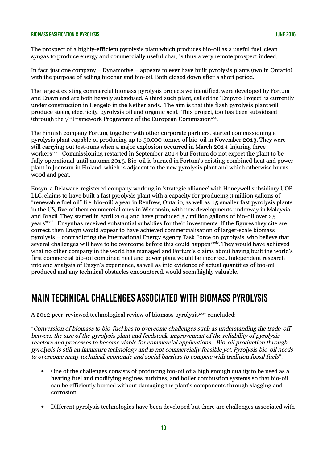The prospect of a highly-efficient pyrolysis plant which produces bio-oil as a useful fuel, clean syngas to produce energy and commercially useful char, is thus a very remote prospect indeed.

In fact, just one company – Dynamotive – appears to ever have built pyrolysis plants (two in Ontario) with the purpose of selling biochar and bio-oil. Both closed down after a short period.

The largest existing commercial biomass pyrolysis projects we identified, were developed by Fortum and Ensyn and are both heavily subsidised. A third such plant, called the 'Empyro Project' is currently under construction in Hengelo in the Netherlands. The aim is that this flash pyrolysis plant will produce steam, electricity, pyrolysis oil and organic acid. This project, too has been subsidised (through the  $7<sup>th</sup>$  Framework Programme of the European Commission $^{\text{xxxi}}$ .

The Finnish company Fortum, together with other corporate partners, started commissioning a pyrolysis plant capable of producing up to 50,000 tonnes of bio-oil in November 2013. They were still carrying out test-runs when a major explosion occurred in March 2014, injuring three workers<sup>xxxii</sup>. Commissioning restarted in September 2014 but Fortum do not expect the plant to be fully operational until autumn 2015. Bio-oil is burned in Fortum's existing combined heat and power plant in Joensuu in Finland, which is adjacent to the new pyrolysis plant and which otherwise burns wood and peat.

Ensyn, a Delaware-registered company working in 'strategic alliance' with Honeywell subsidiary UOP LLC, claims to have built a fast pyrolysis plant with a capacity for producing 3 million gallons of "renewable fuel oil" (i.e. bio-oil) a year in Renfrew, Ontario, as well as 15 smaller fast pyrolysis plants in the US, five of them commercial ones in Wisconsin, with new developments underway in Malaysia and Brazil. They started in April 2014 and have produced 37 million gallons of bio-oil over 25 yearsxxxiii. Ensynhas received substantial subsidies for their investments. If the figures they cite are correct, then Ensyn would appear to have achieved commercialisation of larger-scale biomass pyrolysis – contradicting the International Energy Agency Task Force on pyrolysis, who believe that several challenges will have to be overcome before this could happenxiv. They would have achieved what no other company in the world has managed and Fortum's claims about having built the world's first commercial bio-oil combined heat and power plant would be incorrect. Independent research into and analysis of Ensyn's experience, as well as into evidence of actual quantities of bio-oil produced and any technical obstacles encountered, would seem highly valuable.

### Main technical challenges associated with biomass pyrolysis

A 2012 peer-reviewed technological review of biomass pyrolysis $\frac{3x}{x}$  concluded:

"Conversion of biomass to bio-fuel has to overcome challenges such as understanding the trade-off between the size of the pyrolysis plant and feedstock, improvement of the reliability of pyrolysis reactors and processes to become viable for commercial applications... Bio-oil production through pyrolysis is still an immature technology and is not commercially feasible yet. Pyrolysis bio-oil needs to overcome many technical, economic and social barriers to compete with tradition fossil fuels".

- One of the challenges consists of producing bio-oil of a high enough quality to be used as a heating fuel and modifying engines, turbines, and boiler combustion systems so that bio-oil can be efficiently burned without damaging the plant's components through slagging and corrosion.
- Different pyrolysis technologies have been developed but there are challenges associated with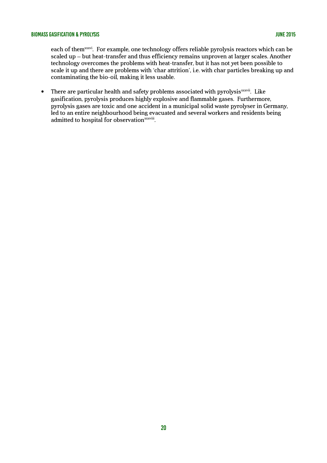each of themxxvi. For example, one technology offers reliable pyrolysis reactors which can be scaled up – but heat-transfer and thus efficiency remains unproven at larger scales. Another technology overcomes the problems with heat-transfer, but it has not yet been possible to scale it up and there are problems with 'char attrition', i.e. with char particles breaking up and contaminating the bio-oil, making it less usable.

• There are particular health and safety problems associated with pyrolysis $\frac{3}{x}$ . Like gasification, pyrolysis produces highly explosive and flammable gases. Furthermore, pyrolysis gases are toxic and one accident in a municipal solid waste pyrolyser in Germany, led to an entire neighbourhood being evacuated and several workers and residents being admitted to hospital for observation<sup>xxxviii</sup>.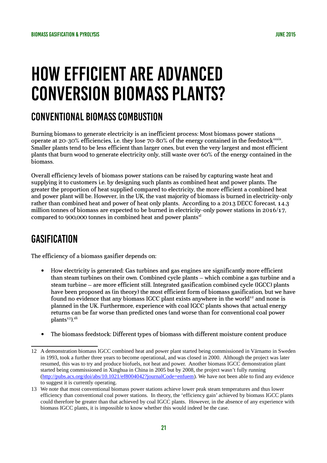# How efficient are advanced conversion biomass plants?

### Conventional biomass combustion

Burning biomass to generate electricity is an inefficient process: Most biomass power stations operate at 20-30% efficiencies, i.e. they lose 70-80% of the energy contained in the feedstock $\frac{x}{x}$ . Smaller plants tend to be less efficient than larger ones, but even the very largest and most efficient plants that burn wood to generate electricity only, still waste over 60% of the energy contained in the biomass.

Overall efficiency levels of biomass power stations can be raised by capturing waste heat and supplying it to customers i.e. by designing such plants as combined heat and power plants. The greater the proportion of heat supplied compared to electricity, the more efficient a combined heat and power plant will be. However, in the UK, the vast majority of biomass is burned in electricity-only rather than combined heat and power of heat only plants. According to a 2013 DECC forecast, 14.3 million tonnes of biomass are expected to be burned in electricity-only power stations in 2016/17. compared to 900,000 tonnes in combined heat and power plants $x<sup>1</sup>$ 

## **GASIFICATION**

The efficiency of a biomass gasifier depends on:

- How electricity is generated: Gas turbines and gas engines are significantly more efficient than steam turbines on their own. Combined cycle plants – which combine a gas turbine and a steam turbine – are more efficient still. Integrated gasification combined cycle (IGCC) plants have been proposed as (in theory) the most efficient form of biomass gasification, but we have found no evidence that any biomass IGCC plant exists anywhere in the world<sup>[12](#page-21-0)</sup> and none is planned in the UK. Furthermore, experience with coal IGCC plants shows that actual energy returns can be far worse than predicted ones (and worse than for conventional coal power  $plants<sup>13</sup>$  $plants<sup>13</sup>$  $plants<sup>13</sup>$ ).<sup>xli</sup>
- The biomass feedstock: Different types of biomass with different moisture content produce

<span id="page-21-0"></span><sup>12</sup> A demonstration biomass IGCC combined heat and power plant started being commissioned in Värnamo in Sweden in 1993, took a further three years to become operational, and was closed in 2000. Although the project was later resumed, this was to try and produce biofuels, not heat and power. Another biomass IGCC demonstration plant started being commissioned in Xinghua in China in 2005 but by 2008, the project wasn't fully running [\(http://pubs.acs.org/doi/abs/10.1021/ef8004042?journalCode=enfuem\)](http://pubs.acs.org/doi/abs/10.1021/ef8004042?journalCode=enfuem). We have not been able to find any evidence to suggest it is currently operating.

<span id="page-21-1"></span><sup>13</sup> We note that most conventional biomass power stations achieve lower peak steam temperatures and thus lower efficiency than conventional coal power stations. In theory, the 'efficiency gain' achieved by biomass IGCC plants could therefore be greater than that achieved by coal IGCC plants. However, in the absence of any experience with biomass IGCC plants, it is impossible to know whether this would indeed be the case.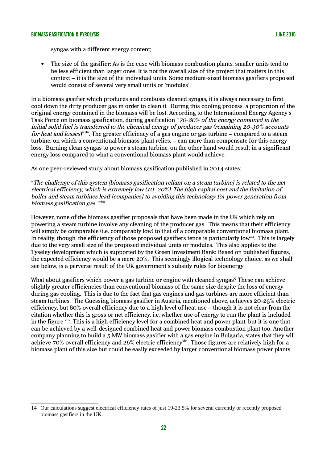syngas with a different energy content;

 The size of the gasifier: As is the case with biomass combustion plants, smaller units tend to be less efficient than larger ones. It is not the overall size of the project that matters in this context – it is the size of the individual units. Some medium-sized biomass gasifiers proposed would consist of several very small units or 'modules'.

In a biomass gasifier which produces and combusts cleaned syngas, it is always necessary to first cool down the dirty producer gas in order to clean it. During this cooling process, a proportion of the original energy contained in the biomass will be lost. According to the International Energy Agency's Task Force on biomass gasification, during gasification "70-80% of the energy contained in the initial solid fuel is transferred to the chemical energy of producer gas (remaining 20-30% accounts for heat and losses)" xlii. The greater efficiency of a gas engine or gas turbine – compared to a steam turbine, on which a conventional biomass plant relies, – can more than compensate for this energy loss. Burning clean syngas to power a steam turbine, on the other hand would result in a significant energy loss compared to what a conventional biomass plant would achieve.

As one peer-reviewed study about biomass gasification published in 2014 states:

"The challenge of this system [biomass gasification reliant on a steam turbine] is related to the net electrical efficiency, which is extremely low (10–20%). The high capital cost and the limitation of boiler and steam turbines lead [companies] to avoiding this technology for power generation from biomass gasification gas."<sup>xliii</sup>

However, none of the biomass gasifier proposals that have been made in the UK which rely on powering a steam turbine involve any cleaning of the producer gas. This means that their efficiency will simply be comparable (i.e. comparably low) to that of a comparable conventional biomass plant. In reality, though, the efficiency of those proposed gasifiers tends is particularly low<sup>[14](#page-22-0)</sup>. This is largely due to the very small size of the proposed individual units or modules. This also applies to the Tyseley development which is supported by the Green Investment Bank: Based on published figures, the expected efficiency would be a mere 20%. This seemingly illogical technology choice, as we shall see below, is a perverse result of the UK government's subsidy rules for bioenergy.

What about gasifiers which power a gas turbine or engine with cleaned syngas? These can achieve slightly greater efficiencies than conventional biomass of the same size despite the loss of energy during gas cooling. This is due to the fact that gas engines and gas turbines are more efficient than steam turbines. The Guessing biomass gasifier in Austria, mentioned above, achieves 20-25% electric efficiency, but 80% overall efficiency due to a high level of heat use – though it is not clear from the citation whether this is gross or net efficiency, i.e. whether use of energy to run the plant is included in the figure xliv. This is a high efficiency level for a combined heat and power plant, but it is one that can be achieved by a well-designed combined heat and power biomass combustion plant too. Another company planning to build a 5 MW biomass gasifier with a gas engine in Bulgaria, states that they will achieve 70% overall efficiency and 26% electric efficiency<sup>xlv</sup>. Those figures are relatively high for a biomass plant of this size but could be easily exceeded by larger conventional biomass power plants.

<span id="page-22-0"></span><sup>14</sup> Our calculations suggest electrical efficiency rates of just 19-23.5% for several currently or recently proposed biomass gasifiers in the UK.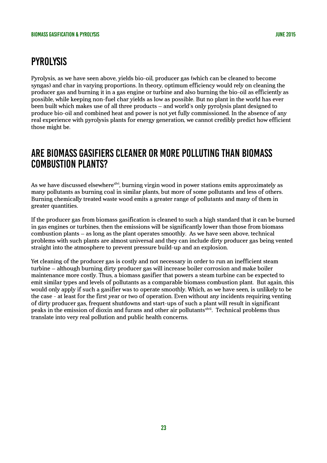# **PYROLYSIS**

Pyrolysis, as we have seen above, yields bio-oil, producer gas (which can be cleaned to become syngas) and char in varying proportions. In theory, optimum efficiency would rely on cleaning the producer gas and burning it in a gas engine or turbine and also burning the bio-oil as efficiently as possible, while keeping non-fuel char yields as low as possible. But no plant in the world has ever been built which makes use of all three products – and world's only pyrolysis plant designed to produce bio-oil and combined heat and power is not yet fully commissioned. In the absence of any real experience with pyrolysis plants for energy generation, we cannot credibly predict how efficient those might be.

### Are biomass gasifiers cleaner or more polluting than biomass combustion plants?

As we have discussed elsewhere<sup>xlvi</sup>, burning virgin wood in power stations emits approximately as many pollutants as burning coal in similar plants, but more of some pollutants and less of others. Burning chemically treated waste wood emits a greater range of pollutants and many of them in greater quantities.

If the producer gas from biomass gasification is cleaned to such a high standard that it can be burned in gas engines or turbines, then the emissions will be significantly lower than those from biomass combustion plants – as long as the plant operates smoothly. As we have seen above, technical problems with such plants are almost universal and they can include dirty producer gas being vented straight into the atmosphere to prevent pressure build-up and an explosion.

Yet cleaning of the producer gas is costly and not necessary in order to run an inefficient steam turbine – although burning dirty producer gas will increase boiler corrosion and make boiler maintenance more costly. Thus, a biomass gasifier that powers a steam turbine can be expected to emit similar types and levels of pollutants as a comparable biomass combustion plant. But again, this would only apply if such a gasifier was to operate smoothly. Which, as we have seen, is unlikely to be the case - at least for the first year or two of operation. Even without any incidents requiring venting of dirty producer gas, frequent shutdowns and start-ups of such a plant will result in significant peaks in the emission of dioxin and furans and other air pollutants<sup>xlvii</sup>. Technical problems thus translate into very real pollution and public health concerns.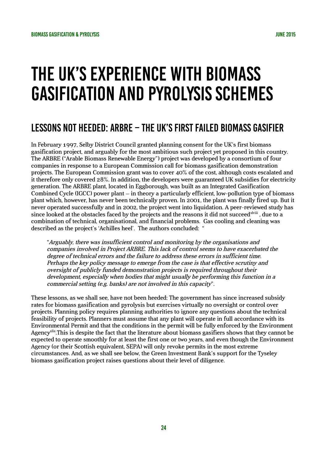# The UK's experience with biomass gasification and pyrolysis schemes

## Lessons not heeded: ARBRE – the UK's first failed biomass gasifier

In February 1997, Selby District Council granted planning consent for the UK's first biomass gasification project, and arguably for the most ambitious such project yet proposed in this country. The ARBRE ("Arable Biomass Renewable Energy") project was developed by a consortium of four companies in response to a European Commission call for biomass gasification demonstration projects. The European Commission grant was to cover 40% of the cost, although costs escalated and it therefore only covered 28%. In addition, the developers were guaranteed UK subsidies for electricity generation. The ARBRE plant, located in Eggborough, was built as an Integrated Gasification Combined Cycle (IGCC) power plant – in theory a particularly efficient, low-pollution type of biomass plant which, however, has never been technically proven. In 2001, the plant was finally fired up. But it never operated successfully and in 2002, the project went into liquidation. A peer-reviewed study has since looked at the obstacles faced by the projects and the reasons it did not succeed x iii, due to a combination of technical, organisational, and financial problems. Gas cooling and cleaning was described as the project's 'Achilles heel'. The authors concluded: "

"Arguably, there was insufficient control and monitoring by the organisations and companies involved in Project ARBRE. This lack of control seems to have exacerbated the degree of technical errors and the failure to address these errors in sufficient time. Perhaps the key policy message to emerge from the case is that effective scrutiny and oversight of publicly funded demonstration projects is required throughout their development, especially when bodies that might usually be performing this function in a commercial setting (e.g. banks) are not involved in this capacity".

These lessons, as we shall see, have not been heeded: The government has since increased subsidy rates for biomass gasification and pyrolysis but exercises virtually no oversight or control over projects. Planning policy requires planning authorities to ignore any questions about the technical feasibility of projects. Planners must assume that any plant will operate in full accordance with its Environmental Permit and that the conditions in the permit will be fully enforced by the Environment Agency<sup>xlix</sup>. This is despite the fact that the literature about biomass gasifiers shows that they cannot be expected to operate smoothly for at least the first one or two years, and even though the Environment Agency (or their Scottish equivalent, SEPA) will only revoke permits in the most extreme circumstances. And, as we shall see below, the Green Investment Bank's support for the Tyseley biomass gasification project raises questions about their level of diligence.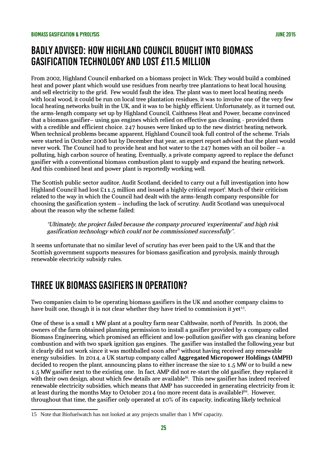### Badly advised: How Highland Council bought into biomass gasification technology and lost £11.5 million

From 2002, Highland Council embarked on a biomass project in Wick: They would build a combined heat and power plant which would use residues from nearby tree plantations to heat local housing and sell electricity to the grid. Few would fault the idea. The plant was to meet local heating needs with local wood, it could be run on local tree plantation residues, it was to involve one of the very few local heating networks built in the UK, and it was to be highly efficient. Unfortunately, as it turned out, the arms-length company set up by Highland Council, Caithness Heat and Power, became convinced that a biomass gasifier– using gas engines which relied on effective gas cleaning - provided them with a credible and efficient choice. 247 houses were linked up to the new district heating network. When technical problems became apparent, Highland Council took full control of the scheme. Trials were started in October 2008 but by December that year, an expert report advised that the plant would never work. The Council had to provide heat and hot water to the 247 homes with an oil boiler – a polluting, high carbon source of heating. Eventually, a private company agreed to replace the defunct gasifier with a conventional biomass combustion plant to supply and expand the heating network. And this combined heat and power plant is reportedly working well.

The Scottish public sector auditor, Audit Scotland, decided to carry out a full investigation into how Highland Council had lost £11.5 million and issued a highly critical report<sup>!</sup>. Much of their criticism related to the way in which the Council had dealt with the arms-length company responsible for choosing the gasification system – including the lack of scrutiny. Audit Scotland was unequivocal about the reason why the scheme failed:

"Ultimately, the project failed because the company procured 'experimental' and high risk gasification technology which could not be commissioned successfully".

It seems unfortunate that no similar level of scrutiny has ever been paid to the UK and that the Scottish government supports measures for biomass gasification and pyrolysis, mainly through renewable electricity subsidy rules.

## Three UK biomass gasifiers in operation?

Two companies claim to be operating biomass gasifiers in the UK and another company claims to have built one, though it is not clear whether they have tried to commission it yet<sup>[15](#page-25-0)</sup>.

One of these is a small 1 MW plant at a poultry farm near Calthwaite, north of Penrith. In 2006, the owners of the farm obtained planning permission to install a gasifier provided by a company called Biomass Engineering, which promised an efficient and low-pollution gasifier with gas cleaning before combustion and with two spark ignition gas engines. The gasifier was installed the following year but it clearly did not work since it was mothballed soon after<sup>li</sup> without having received any renewable energy subsidies. In 2014, a UK startup company called **Aggregated Micropower Holdings (AMPH)** decided to reopen the plant, announcing plans to either increase the size to 1.5 MW or to build a new 1.5 MW gasifier next to the existing one. In fact, AMP did not re-start the old gasifier, they replaced it with their own design, about which few details are available<sup>lii</sup>. This new gasifier has indeed received renewable electricity subsidies, which means that AMP has succeeded in generating electricity from it; at least during the months May to October 2014 (no more recent data is available) $^{\text{lin}}$ . However, throughout that time, the gasifier only operated at 10% of its capacity, indicating likely technical

<span id="page-25-0"></span><sup>15</sup> Note that Biofuelwatch has not looked at any projects smaller than 1 MW capacity.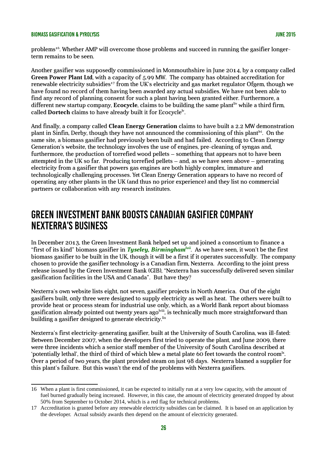problems<sup>[16](#page-26-0)</sup>. Whether AMP will overcome those problems and succeed in running the gasifier longerterm remains to be seen.

Another gasifier was supposedly commissioned in Monmouthshire in June 2014, by a company called **Green Power Plant Ltd**, with a capacity of 5.99 MW. The company has obtained accreditation for renewable electricity subsidies<sup>[17](#page-26-1)</sup> from the UK's electricity and gas market regulator Ofgem, though we have found no record of them having been awarded any actual subsidies. We have not been able to find any record of planning consent for such a plant having been granted either. Furthermore, a different new startup company, **Ecocycle**, claims to be building the same plant<sup>liv</sup> while a third firm, called Dortech claims to have already built it for Ecocycle<sup>ly</sup>.

And finally, a company called **Clean Energy Generation** claims to have built a 2.2 MW demonstration plant in Sinfin, Derby, though they have not announced the commissioning of this plant<sup>hi</sup>. On the same site, a biomass gasifier had previously been built and had failed. According to Clean Energy Generation's website, the technology involves the use of engines, pre-cleaning of syngas and, furthermore, the production of torrefied wood pellets – something that appears not to have been attempted in the UK so far. Producing torrefied pellets – and, as we have seen above – generating electricity from a gasifier that powers gas engines are both highly complex, immature and technologically challenging processes. Yet Clean Energy Generation appears to have no record of operating any other plants in the UK (and thus no prior experience) and they list no commercial partners or collaboration with any research institutes.

### Green Investment Bank boosts Canadian gasifier company Nexterra's business

In December 2013, the Green Investment Bank helped set up and joined a consortium to finance a "first of its kind" biomass gasifier in *Tyseley, Birminghamlvii*. As we have seen, it won't be the first biomass gasifier to be built in the UK, though it will be a first if it operates successfully. The company chosen to provide the gasifier technology is a Canadian firm, Nexterra. According to the joint press release issued by the Green Investment Bank (GIB), "Nexterra has successfully delivered seven similar gasification facilities in the USA and Canada". But have they?

Nexterra's own website lists eight, not seven, gasifier projects in North America. Out of the eight gasifiers built, only three were designed to supply electricity as well as heat. The others were built to provide heat or process steam for industrial use only, which, as a World Bank report about biomass gasification already pointed out twenty years ago<sup>lviii</sup>, is technically much more straightforward than building a gasifier designed to generate electricity.<sup>lix</sup>

Nexterra's first electricity-generating gasifier, built at the University of South Carolina, was ill-fated: Between December 2007, when the developers first tried to operate the plant, and June 2009, there were three incidents which a senior staff member of the University of South Carolina described at 'potentially lethal', the third of third of which blew a metal plate 60 feet towards the control room $x$ . Over a period of two years, the plant provided steam on just 98 days. Nexterra blamed a supplier for this plant's failure. But this wasn't the end of the problems with Nexterra gasifiers.

<span id="page-26-0"></span><sup>16</sup> When a plant is first commissioned, it can be expected to initially run at a very low capacity, with the amount of fuel burned gradually being increased. However, in this case, the amount of electricity generated dropped by about 50% from September to October 2014, which is a red flag for technical problems.

<span id="page-26-1"></span><sup>17</sup> Accreditation is granted before any renewable electricity subsidies can be claimed. It is based on an application by the developer. Actual subsidy awards then depend on the amount of electricity generated.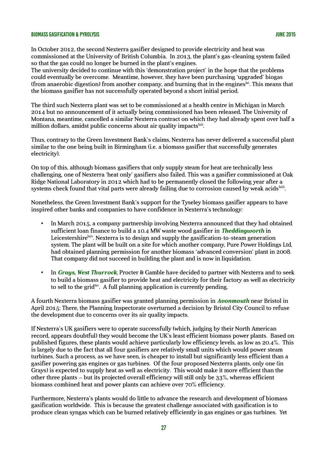In October 2012, the second Nexterra gasifier designed to provide electricity and heat was commissioned at the University of British Columbia. In 2013, the plant's gas-cleaning system failed so that the gas could no longer be burned in the plant's engines.

The university decided to continue with this 'demonstration project' in the hope that the problems could eventually be overcome. Meantime, however, they have been purchasing 'upgraded' biogas (from anaerobic digestion) from another company, and burning that in the engines  $\frac{dx}{dt}$ . This means that the biomass gasifier has not successfully operated beyond a short initial period.

The third such Nexterra plant was set to be commissioned at a health centre in Michigan in March 2014 but no announcement of it actually being commissioned has been released. The University of Montana, meantime, cancelled a similar Nexterra contract on which they had already spent over half a million dollars, amidst public concerns about air quality impacts sil.

Thus, contrary to the Green Investment Bank's claims, Nexterra has never delivered a successful plant similar to the one being built in Birmingham (i.e. a biomass gasifier that successfully generates electricity).

On top of this, although biomass gasifiers that only supply steam for heat are technically less challenging, one of Nexterra 'heat only' gasifiers also failed. This was a gasifier commissioned at Oak Ridge National Laboratory in 2012 which had to be permanently closed the following year after a systems check found that vital parts were already failing due to corrosion caused by weak acids $^{\rm kiii}$ .

Nonetheless, the Green Investment Bank's support for the Tyseley biomass gasifier appears to have inspired other banks and companies to have confidence in Nexterra's technology:

- In March 2015, a company partnership involving Nexterra announced that they had obtained sufficient loan finance to build a 10.4 MW waste wood gasifier in *Theddingworth* in Leicestershire<sup>kiv</sup>. Nexterra is to design and supply the gasification-to-steam generation system. The plant will be built on a site for which another company, Pure Power Holdings Ltd, had obtained planning permission for another biomass 'advanced conversion' plant in 2008. That company did not succeed in building the plant and is now in liquidation.
- In *Grays, West Thurrock*, Procter & Gamble have decided to partner with Nexterra and to seek to build a biomass gasifier to provide heat and electricity for their factory as well as electricity to sell to the grid<sup>lxv</sup>. A full planning application is currently pending.

A fourth Nexterra biomass gasifier was granted planning permission in *Avonmouth* near Bristol in April 2015: There, the Planning Inspectorate overturned a decision by Bristol City Council to refuse the development due to concerns over its air quality impacts.

If Nexterra's UK gasifiers were to operate successfully (which, judging by their North American record, appears doubtful) they would become the UK's least efficient biomass power plants. Based on published figures, these plants would achieve particularly low efficiency levels, as low as 20.4%. This is largely due to the fact that all four gasifiers are relatively small units which would power steam turbines. Such a process, as we have seen, is cheaper to install but significantly less efficient than a gasifier powering gas engines or gas turbines. Of the four proposed Nexterra plants, only one (in Grays) is expected to supply heat as well as electricity. This would make it more efficient than the other three plants – but its projected overall efficiency will still only be 33%, whereas efficient biomass combined heat and power plants can achieve over 70% efficiency.

Furthermore, Nexterra's plants would do little to advance the research and development of biomass gasification worldwide. This is because the greatest challenge associated with gasification is to produce clean syngas which can be burned relatively efficiently in gas engines or gas turbines. Yet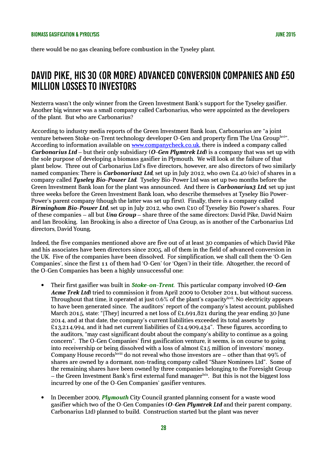there would be no gas cleaning before combustion in the Tyseley plant.

# David Pike, his 30 (or more) advanced conversion companies and £50 million losses to investors

Nexterra wasn't the only winner from the Green Investment Bank's support for the Tyseley gasifier. Another big winner was a small company called Carbonarius, who were appointed as the developers of the plant. But who are Carbonarius?

According to industry media reports of the Green Investment Bank loan, Carbonarius are "a joint venture between Stoke-on-Trent technology developer O-Gen and property firm The Una Group kvi". According to information available on [www.companycheck.co.uk,](http://www.companycheck.co.uk/) there is indeed a company called *Carbonarius Ltd* – but their only subsidiary (*O-Gen Plymtrek Ltd*) is a company that was set up with the sole purpose of developing a biomass gasifier in Plymouth. We will look at the failure of that plant below. Three out of Carbonarius Ltd's five directors, however, are also directors of two similarly named companies: There is *Carbonarius2 Ltd*, set up in July 2012, who own £4.40 (sic) of shares in a company called *Tyseley Bio-Power Ltd*. Tyseley Bio-Power Ltd was set up two months before the Green Investment Bank loan for the plant was announced. And there is *Carbonarius3 Ltd*, set up just three weeks before the Green Investment Bank loan, who describe themselves at Tyseley Bio Power-Power's parent company (though the latter was set up first). Finally, there is a company called *Birmingham Bio-Power Ltd*, set up in July 2012, who own £10 of Tyeseley Bio Power's shares. Four of these companies – all but *Una Group* – share three of the same directors: David Pike, David Nairn and Ian Brooking. Ian Brooking is also a director of Una Group, as is another of the Carbonarius Ltd directors, David Young.

Indeed, the five companies mentioned above are five out of at least 30 companies of which David Pike and his associates have been directors since 2005, all of them in the field of advanced conversion in the UK. Five of the companies have been dissolved. For simplification, we shall call them the 'O-Gen Companies', since the first 11 of them had 'O-Gen' (or 'Ogen') in their title. Altogether, the record of the O-Gen Companies has been a highly unsuccessful one:

- Their first gasifier was built in *Stoke-on-Trent*. This particular company involved (*O-Gen Acme Trek Ltd*) tried to commission it from April 2009 to October 2011, but without success. Throughout that time, it operated at just 0.6% of the plant's capacitylxvii. No electricity appears to have been generated since. The auditors' report of the company's latest account, published March 2015, state: "[They] incurred a net loss of £1,691,821 during the year ending 30 June 2014, and at that date, the company's current liabilities exceeded its total assets by £13,214,994, and it had net current liabilities of £14,909,434". These figures, according to the auditors, "may cast significant doubt about the company's ability to continue as a going concern". The O-Gen Companies' first gasification venture, it seems, is on course to going into receivership or being dissolved with a loss of almost £15 million of investors' money. Company House records<sup>lxviii</sup> do not reveal who those investors are – other than that  $99\%$  of shares are owned by a dormant, non-trading company called "Share Nominees Ltd". Some of the remaining shares have been owned by three companies belonging to the Foresight Group  $-$  the Green Investment Bank's first external fund manager  $\frac{1}{x}$ . But this is not the biggest loss incurred by one of the O-Gen Companies' gasifier ventures.
- In December 2009, *Plymouth* City Council granted planning consent for a waste wood gasifier which two of the O-Gen Companies (*O-Gen Plymtrek Ltd* and their parent company, Carbonarius Ltd) planned to build. Construction started but the plant was never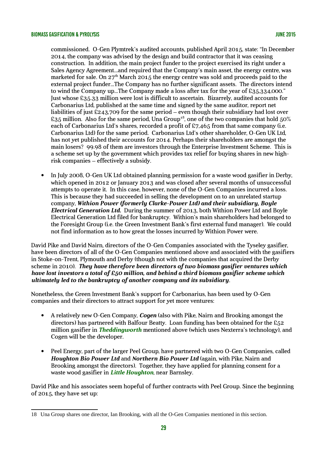commissioned. O-Gen Plymtrek's audited accounts, published April 2015, state: "In December 2014, the company was advised by the design and build contractor that it was ceasing construction. In addition, the main project funder to the project exercised its right under a Sales Agency Agreement...and required that the Company's main asset, the energy centre, was marketed for sale. On  $27<sup>th</sup>$  March 2015 the energy centre was sold and proceeds paid to the external project funder...The Company has no further significant assets. The directors intend to wind the Company up...The Company made a loss after tax for the year of £35,334,000." Just whose £35.33 million were lost is difficult to ascertain. Bizarrely, audited accounts for Carbonarius Ltd, published at the same time and signed by the same auditor, report net liabilities of just £243,709 for the same period – even though their subsidiary had lost over £35 million. Also for the same period, Una Group<sup>[18](#page-29-0)</sup>, one of the two companies that hold 50% each of Carbonarius Ltd's shares, recorded a profit of £7,465 from that same company (i.e. Carbonarius Ltd) for the same period. Carbonarius Ltd's other shareholder, O-Gen UK Ltd, has not yet published their accounts for 2014. Perhaps their shareholders are amongst the main losers? 99.98 of them are investors through the Enterprise Investment Scheme. This is a scheme set up by the government which provides tax relief for buying shares in new highrisk companies – effectively a subsidy.

• In July 2008, O-Gen UK Ltd obtained planning permission for a waste wood gasifier in Derby, which opened in 2012 or January 2013 and was closed after several months of unsuccessful attempts to operate it. In this case, however, none of the O-Gen Companies incurred a loss. This is because they had succeeded in selling the development on to an unrelated startup company, *Withion Power (formerly Clarke-Power Ltd) and their subsidiary, Boyle Electrical Generation Ltd.* During the summer of 2013, both Withion Power Ltd and Boyle Electrical Generation Ltd filed for bankruptcy. Withion's main shareholders had belonged to the Foresight Group (i.e. the Green Investment Bank's first external fund manager). We could not find information as to how great the losses incurred by Withion Power were.

David Pike and David Nairn, directors of the O-Gen Companies associated with the Tyseley gasifier, have been directors of all of the O-Gen Companies mentioned above and associated with the gasifiers in Stoke-on-Trent, Plymouth and Derby (though not with the companies that acquired the Derby scheme in 2010). *They have therefore been directors of two biomass gasifier ventures which have lost investors a total of £50 million, and behind a third biomass gasifier scheme which ultimately led to the bankruptcy of another company and its subsidiary*.

Nonetheless, the Green Investment Bank's support for Carbonarius, has been used by O-Gen companies and their directors to attract support for yet more ventures:

- A relatively new O-Gen Company, *Cogen* (also with Pike, Nairn and Brooking amongst the directors) has partnered with Balfour Beatty. Loan funding has been obtained for the £52 million gasifier in *Theddingworth* mentioned above (which uses Nexterra's technology), and Cogen will be the developer.
- Peel Energy, part of the larger Peel Group, have partnered with two O-Gen Companies, called *Houghton Bio Power Ltd* and *Northern Bio Power Ltd* (again, with Pike, Nairn and Brooking amongst the directors). Together, they have applied for planning consent for a waste wood gasifier in *Little Houghton*, near Barnsley.

David Pike and his associates seem hopeful of further contracts with Peel Group. Since the beginning of 2015, they have set up:

<span id="page-29-0"></span><sup>18</sup> Una Group shares one director, Ian Brooking, with all the O-Gen Companies mentioned in this section.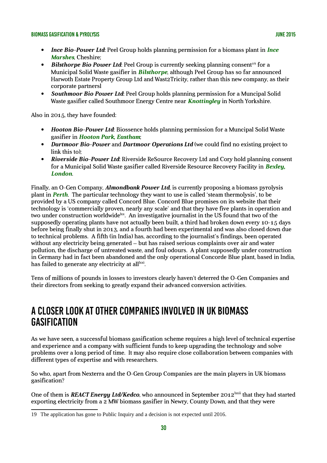- *Ince Bio-Power Ltd*: Peel Group holds planning permission for a biomass plant in *Ince Marshes*, Cheshire;
- **Bilsthorpe Bio Power Ltd:** Peel Group is currently seeking planning consent<sup>[19](#page-30-0)</sup> for a Municipal Solid Waste gasifier in *Bilsthorpe*, although Peel Group has so far announced Harwoth Estate Property Group Ltd and Wast2Tricity, rather than this new company, as their corporate partnersl
- *Southmoor Bio Power Ltd*: Peel Group holds planning permission for a Muncipal Solid Waste gasifier called Southmoor Energy Centre near *Knottingley* in North Yorkshire.

Also in 2015, they have founded:

- *Hooton Bio-Power Ltd*: Biossence holds planning permission for a Muncipal Solid Waste gasifier in *Hooton Park, Eastham*;
- *Dartmoor Bio-Power* and *Dartmoor Operations Ltd* (we could find no existing project to link this to);
- *Riverside Bio-Power Ltd*: Riverside ReSource Recovery Ltd and Cory hold planning consent for a Municipal Solid Waste gasifier called Riverside Resource Recovery Facility in *Bexley, London*.

Finally, an O-Gen Company, *Almondbank Power Ltd*, is currently proposing a biomass pyrolysis plant in *Perth*. The particular technology they want to use is called 'steam thermolysis', to be provided by a US company called Concord Blue. Concord Blue promises on its website that their technology is 'commercially proven, nearly any scale' and that they have five plants in operation and two under construction worldwide <sup>bx</sup>. An investigative journalist in the US found that two of the supposedly operating plants have not actually been built, a third had broken down every 10-15 days before being finally shut in 2013, and a fourth had been experimental and was also closed down due to technical problems. A fifth (in India) has, according to the journalist's findings, been operated without any electricity being generated – but has raised serious complaints over air and water pollution, the discharge of untreated waste, and foul odours. A plant supposedly under construction in Germany had in fact been abandoned and the only operational Concorde Blue plant, based in India, has failed to generate any electricity at all $^{\rm lxxi}$ .

Tens of millions of pounds in losses to investors clearly haven't deterred the O-Gen Companies and their directors from seeking to greatly expand their advanced conversion activities.

### A closer look at other companies involved in UK biomass **GASIFICATION**

As we have seen, a successful biomass gasification scheme requires a high level of technical expertise and experience and a company with sufficient funds to keep upgrading the technology and solve problems over a long period of time. It may also require close collaboration between companies with different types of expertise and with researchers.

So who, apart from Nexterra and the O-Gen Group Companies are the main players in UK biomass gasification?

One of them is *REACT Energy Ltd/Kedco*, who announced in September 2012<sup>lxxii</sup> that they had started exporting electricity from a 2 MW biomass gasifier in Newry, County Down, and that they were

<span id="page-30-0"></span><sup>19</sup> The application has gone to Public Inquiry and a decision is not expected until 2016.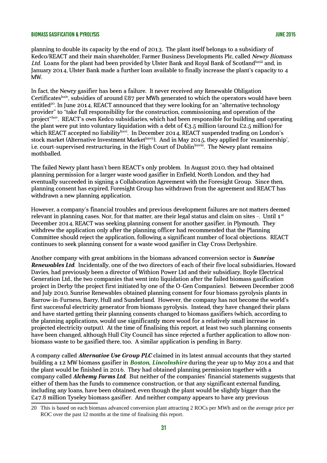planning to double its capacity by the end of 2013. The plant itself belongs to a subsidiary of Kedco/REACT and their main shareholder, Farmer Business Developments Plc, called Newry Biomass Ltd. Loans for the plant had been provided by Ulster Bank and Royal Bank of Scotland  $x$  and, in January 2014, Ulster Bank made a further loan available to finally increase the plant's capacity to 4 MW.

In fact, the Newry gasifier has been a failure. It never received any Renewable Obligation Certificates<sup>lxxiv</sup>, subsidies of around £87 per MWh generated to which the operators would have been entitled<sup>[20](#page-31-0)</sup>. In June 2014, REACT announced that they were looking for an "alternative technology provider" to "take full responsibility for the construction, commissioning and operation of the project"lxxv. REACT's own Kedco subsidiaries, which had been responsible for building and operating the plant were put into voluntary liquidation with a debt of  $\epsilon_{3.5}$  million (around £2.5 million) for which REACT accepted no liability <sup>bxvi</sup>. In December 2014, REACT suspended trading on London's stock market (Alternative Investment Market<sup>lxxvii</sup>). And in May 2015, they applied for 'examinership', i.e. court-supervised restructuring, in the High Court of Dublin Exvill The Newry plant remains mothballed.

The failed Newry plant hasn't been REACT's only problem. In August 2010, they had obtained planning permission for a larger waste wood gasifier in Enfield, North London, and they had eventually succeeded in signing a Collaboration Agreement with the Foresight Group. Since then, planning consent has expired, Foresight Group has withdrawn from the agreement and REACT has withdrawn a new planning application.

However, a company's financial troubles and previous development failures are not matters deemed relevant in planning cases. Nor, for that matter, are their legal status and claim on sites  $\overline{\phantom{a}}$ . Until  $1^{st}$ December 2014, REACT was seeking planning consent for another gasifier, in Plymouth. They withdrew the application only after the planning officer had recommended that the Planning Committee should reject the application, following a significant number of local objections. REACT continues to seek planning consent for a waste wood gasifier in Clay Cross Derbyshire.

Another company with great ambitions in the biomass advanced conversion sector is *Sunrise Renewables Ltd*. Incidentally, one of the two directors of each of their five local subsidiaries, Howard Davies, had previously been a director of Withion Power Ltd and their subsidiary, Boyle Electrical Generation Ltd., the two companies that went into liquidation after the failed biomass gasification project in Derby (the project first initiated by one of the O-Gen Companies). Between December 2008 and July 2010, Sunrise Renewables obtained planning consent for four biomass pyrolysis plants in Barrow-in-Furness, Barry, Hull and Sunderland. However, the company has not become the world's first successful electricity generator from biomass pyrolysis. Instead, they have changed their plans and have started getting their planning consents changed to biomass gasifiers (which, according to the planning applications, would use significantly more wood for a relatively small increase in projected electricity output). At the time of finalising this report, at least two such planning consents have been changed, although Hull City Council has since rejected a further application to allow nonbiomass waste to be gasified there, too. A similar application is pending in Barry.

A company called *Alternative Use Group PLC* claimed in its latest annual accounts that they started building a 12 MW biomass gasifier in *Boston, Lincolnshire* during the year up to May 2014 and that the plant would be finished in 2016. They had obtained planning permission together with a company called *Alchemy Farms Ltd*. But neither of the companies' financial statements suggests that either of them has the funds to commence construction, or that any significant external funding, including any loans, have been obtained, even though the plant would be slightly bigger than the £47.8 million Tyseley biomass gasifier. And neither company appears to have any previous

<span id="page-31-0"></span><sup>20</sup> This is based on each biomass advanced conversion plant attracting 2 ROCs per MWh and on the average price per ROC over the past 12 months at the time of finalising this report.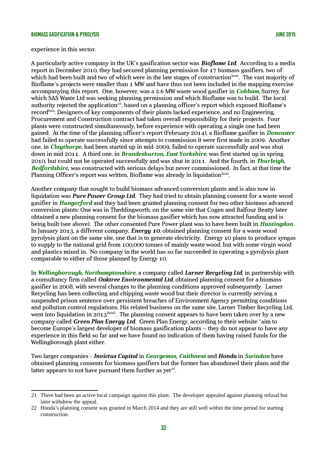experience in this sector.

A particularly active company in the UK's gasification sector was *Bioflame Ltd*. According to a media report in December 2010, they had secured planning permission for 17 biomass gasifiers, two of which had been built and two of which were in the late stages of construction **Exits**. The vast majority of Bioflame's projects were smaller than 1 MW and have thus not been included in the mapping exercise accompanying this report. One, however, was a 2.6 MW waste wood gasifier in *Cobham*, Surrey, for which SAS Waste Ltd was seeking planning permission and which Bioflame was to build. The local authority rejected the application<sup>[21](#page-32-0)</sup>, based on a planning officer's report which exposed Bioflame's record<sup>bxx</sup>: Designers of key components of their plants lacked experience, and no Engineering, Procurement and Construction contract had taken overall responsibility for their projects. Four plants were constructed simultaneously, before experience with operating a single one had been gained. At the time of the planning officer's report (February 2014), a Bioflame gasifier in *Doncaster* had failed to operate successfully since attempts to commission it were first made in 2009. Another one, in *Claythorpe*, had been started up in mid-2009, failed to operate successfully and was shut down in mid 2011. A third one, in *Brandesburton, East Yorkshire*, was first started up in spring 2010, but could not be operated successfully and was shut in 2011. And the fourth, in *Thurleigh, Bedfordshire,* was constructed with serious delays but never commissioned. In fact, at that time the Planning Officer's report was written, Bioflame was already in liquidation $\frac{bxxx}{c}$ .

Another company that sought to build biomass advanced conversion plants and is also now in liquidation was *Pure Power Group Ltd*. They had tried to obtain planning consent for a waste wood gasifier in *Hungerford* and they had been granted planning consent for two other biomass advanced conversion plants: One was in Theddingworth, on the same site that Cogen and Balfour Beatty later obtained a new planning consent for the biomass gasifier which has now attracted funding and is being built (see above). The other consented Pure Power plant was to have been built in *Huntingdon*. In January 2013, a different company, *Energy 10*, obtained planning consent for a waste wood pyrolysis plant on the same site, one that is to generate electricity. Energy 10 plans to produce syngas to supply to the national grid from 100,000 tonnes of mainly waste wood, but with some virgin wood and plastics mixed in. No company in the world has so far succeeded in operating a pyrolysis plant comparable to either of those planned by Energy 10.

In *Wellingborough, Northamptonshire*, a company called *Larner Recycling Ltd*, in partnership with a consultancy firm called *Oaktree Environmental Ltd*, obtained planning consent for a biomass gasifier in 2008, with several changes to the planning conditions approved subsequently. Larner Recycling has been collecting and chipping waste wood but their director is currently serving a suspended prison sentence over persistent breaches of Environment Agency permitting conditions and pollution control regulations. His related business on the same site, Larner Timber Recycling Ltd, went into liquidation in 2013<sup>kxxii</sup>. The planning consent appears to have been taken over by a new company called *Green Plan Energy Ltd*. Green Plan Energy, according to their website "aim to become Europe's largest developer of biomass gasification plants – they do not appear to have any experience in this field so far and we have found no indication of them having raised funds for the Wellingborough plant either.

Two larger companies - *Invictus Capital* in *Georgemas, Caithness* and *Honda* in *Swindon* have obtained planning consents for biomass gasifiers but the former has abandoned their plans and the latter appears to not have pursued them further as yet $22$ .

<span id="page-32-0"></span><sup>21</sup> There had been an active local campaign against this plant. The developer appealed against planning refusal but later withdrew the appeal.

<span id="page-32-1"></span><sup>22</sup> Honda's planning consent was granted in March 2014 and they are still well within the time period for starting construction.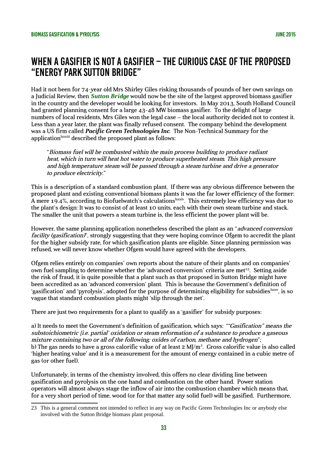## When a gasifier is not a gasifier – the curious case of the proposed "Energy Park Sutton Bridge"

Had it not been for 74-year old Mrs Shirley Giles risking thousands of pounds of her own savings on a Judicial Review, then *Sutton Bridge* would now be the site of the largest approved biomass gasifier in the country and the developer would be looking for investors. In May 2013, South Holland Council had granted planning consent for a large 43-48 MW biomass gasifier. To the delight of large numbers of local residents, Mrs Giles won the legal case – the local authority decided not to contest it. Less than a year later, the plant was finally refused consent. The company behind the development was a US firm called *Pacific Green Technologies Inc*. The Non-Technical Summary for the application<sup>lxxxiii</sup> described the proposed plant as follows:

"Biomass fuel will be combusted within the main process building to produce radiant heat, which in turn will heat hot water to produce superheated steam. This high pressure and high temperature steam will be passed through a steam turbine and drive a generator to produce electricity."

This is a description of a standard combustion plant. If there was any obvious difference between the proposed plant and existing conventional biomass plants it was the far lower efficiency of the former: A mere 19.4%, according to Biofuelwatch's calculations XXXIV. This extremely low efficiency was due to the plant's design: It was to consist of at least 10 units, each with their own steam turbine and stack. The smaller the unit that powers a steam turbine is, the less efficient the power plant will be.

However, the same planning application nonetheless described the plant as an "advanced conversion facility (gasification)", strongly suggesting that they were hoping convince Ofgem to accredit the plant for the higher subsidy rate, for which gasification plants are eligible. Since planning permission was refused, we will never know whether Ofgem would have agreed with the developers.

Ofgem relies entirely on companies' own reports about the nature of their plants and on companies' own fuel sampling to determine whether the 'advanced conversion' criteria are met<sup>[23](#page-33-0)</sup>. Setting aside the risk of fraud, it is quite possible that a plant such as that proposed in Sutton Bridge might have been accredited as an 'advanced conversion' plant. This is because the Government's definition of 'gasification' and 'pyrolysis', adopted for the purpose of determining eligibility for subsidies <sup>kxxv</sup>, is so vague that standard combustion plants might 'slip through the net'.

There are just two requirements for a plant to qualify as a 'gasifier' for subsidy purposes:

a) It needs to meet the Government's definition of gasification, which says: ""Gasification" means the substoichiometric [i.e. partial' oxidation or steam reformation of a substance to produce a gaseous mixture containing two or all of the following: oxides of carbon, methane and hydrogen"; b) The gas needs to have a gross calorific value of at least 2 MJ/m $^3$ . Gross calorific value is also called 'higher heating value' and it is a measurement for the amount of energy contained in a cubic metre of gas (or other fuel).

Unfortunately, in terms of the chemistry involved, this offers no clear dividing line between gasification and pyrolysis on the one hand and combustion on the other hand. Power station operators will almost always stage the inflow of air into the combustion chamber which means that, for a very short period of time, wood (or for that matter any solid fuel) will be gasified. Furthermore,

<span id="page-33-0"></span><sup>23</sup> This is a general comment not intended to reflect in any way on Pacific Green Technologies Inc or anybody else involved with the Sutton Bridge biomass plant proposal.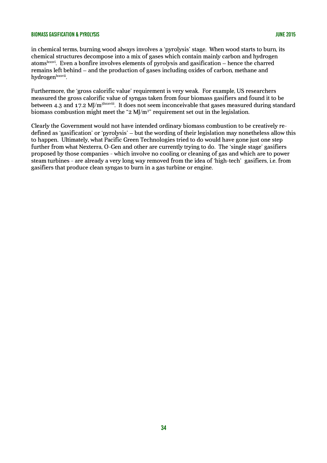in chemical terms, burning wood always involves a 'pyrolysis' stage. When wood starts to burn, its chemical structures decompose into a mix of gases which contain mainly carbon and hydrogen atoms<sup>lxxxvi</sup>. Even a bonfire involves elements of pyrolysis and gasification – hence the charred remains left behind – and the production of gases including oxides of carbon, methane and hydrogen<sup>lxxxvii</sup>.

Furthermore, the 'gross calorific value' requirement is very weak. For example, US researchers measured the gross calorific value of syngas taken from four biomass gasifiers and found it to be between 4.3 and 17.2 MJ/m<sup>3lxxxviii</sup>. It does not seem inconceivable that gases measured during standard biomass combustion might meet the "2 MJ/m<sup>3</sup>" requirement set out in the legislation.

Clearly the Government would not have intended ordinary biomass combustion to be creatively redefined as 'gasification' or 'pyrolysis' – but the wording of their legislation may nonetheless allow this to happen. Ultimately, what Pacific Green Technologies tried to do would have gone just one step further from what Nexterra, O-Gen and other are currently trying to do. The 'single stage' gasifiers proposed by those companies - which involve no cooling or cleaning of gas and which are to power steam turbines - are already a very long way removed from the idea of 'high-tech' gasifiers, i.e. from gasifiers that produce clean syngas to burn in a gas turbine or engine.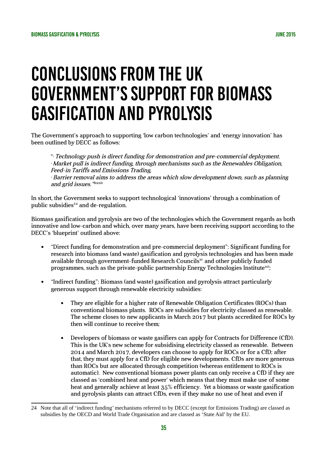# Conclusions from the UK Government's support for biomass gasification and pyrolysis

The Government's approach to supporting 'low carbon technologies' and 'energy innovation' has been outlined by DECC as follows:

"• Technology push is direct funding for demonstration and pre-commercial deployment. • Market pull is indirect funding, through mechanisms such as the Renewables Obligation, Feed-in Tariffs and Emissions Trading, • Barrier removal aims to address the areas which slow development down, such as planning and grid issues."<sup>Ixxxix</sup>

In short, the Government seeks to support technological 'innovations' through a combination of public subsidies $24$  and de-regulation.

Biomass gasification and pyrolysis are two of the technologies which the Government regards as both innovative and low-carbon and which, over many years, have been receiving support according to the DECC's 'blueprint' outlined above:

- "Direct funding for demonstration and pre-commercial deployment": Significant funding for research into biomass (and waste) gasification and pyrolysis technologies and has been made available through government-funded Research Councils $x<sub>c</sub>$  and other publicly funded programmes, such as the private-public partnership Energy Technologies Institute $x^{ci}$ ;
- "Indirect funding": Biomass (and waste) gasification and pyrolysis attract particularly generous support through renewable electricity subsidies:
	- They are eligible for a higher rate of Renewable Obligation Certificates (ROCs) than conventional biomass plants. ROCs are subsidies for electricity classed as renewable. The scheme closes to new applicants in March 2017 but plants accredited for ROCs by then will continue to receive them;
	- Developers of biomass or waste gasifiers can apply for Contracts for Difference (CfD). This is the UK's new scheme for subsidising electricity classed as renewable. Between 2014 and March 2017, developers can choose to apply for ROCs or for a CfD; after that, they must apply for a CfD for eligible new developments. CfDs are more generous than ROCs but are allocated through competition (whereas entitlement to ROCs is automatic). New conventional biomass power plants can only receive a CfD if they are classed as 'combined heat and power' which means that they must make use of some heat and generally achieve at least 35% efficiency. Yet a biomass or waste gasification and pyrolysis plants can attract CfDs, even if they make no use of heat and even if

<span id="page-35-0"></span><sup>24</sup> Note that all of 'indirect funding' mechanisms referred to by DECC (except for Emissions Trading) are classed as subsidies by the OECD and World Trade Organisation and are classed as 'State Aid' by the EU.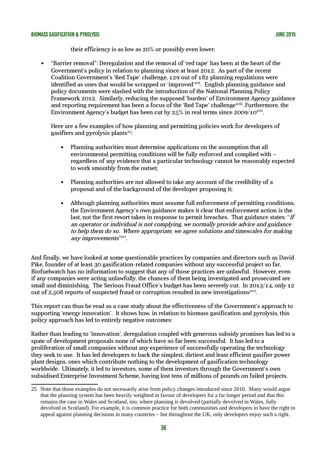their efficiency is as low as 20% or possibly even lower;

 "Barrier removal": Deregulation and the removal of 'red tape' has been at the heart of the Government's policy in relation to planning since at least 2012. As part of the recent Coalition Government's 'Red Tape' challenge, 129 out of 182 planning regulations were identified as ones that would be scrapped or 'improved'<sup>xcii</sup>. English planning guidance and policy documents were slashed with the introduction of the National Planning Policy Framework 2012. Similarly, reducing the supposed 'burden' of Environment Agency guidance and reporting requirement has been a focus of the 'Red Tape' challenge<sup>xciii</sup>. Furthermore, the Environment Agency's budget has been cut by 25% in real terms since 2009/10 $^{\mathrm{xciv}}$ .

Here are a few examples of how planning and permitting policies work for developers of gasifiers and pyrolysis plants $25$ :

- Planning authorities must determine applications on the assumption that all environmental permitting conditions will be fully enforced and complied with – regardless of any evidence that a particular technology cannot be reasonably expected to work smoothly from the outset;
- Planning authorities are not allowed to take any account of the credibility of a proposal and of the background of the developer proposing it;
- Although planning authorities must assume full enforcement of permitting conditions, the Environment Agency's own guidance makes it clear that enforcement action is the last, not the first resort taken in response to permit breaches. That guidance states: " $If$ an operator or individual is not complying, we normally provide advice and guidance to help them do so. Where appropriate, we agree solutions and timescales for making any improvements"xcv.

And finally, we have looked at some questionable practices by companies and directors such as David Pike, founder of at least 30 gasification-related companies without any successful project so far. Biofuelwatch has no information to suggest that any of those practices are unlawful. However, even if any companies were acting unlawfully, the chances of them being investigated and prosecuted are small and diminishing. The Serious Fraud Office's budget has been severely cut. In 2013/14, only 12 out of 2,508 reports of suspected fraud or corruption resulted in new investigations<sup>xcvi</sup>.

This report can thus be read as a case study about the effectiveness of the Government's approach to supporting 'energy innovation'. It shows how, in relation to biomass gasification and pyrolysis, this policy approach has led to entirely negative outcomes:

Rather than leading to 'innovation', deregulation coupled with generous subsidy promises has led to a spate of development proposals none of which have so far been successful. It has led to a proliferation of small companies without any experience of successfully operating the technology they seek to use. It has led developers to back the simplest, dirtiest and least efficient gasifier power plant designs, ones which contribute nothing to the development of gasification technology worldwide. Ultimately, it led to investors, some of them investors through the Government's own subsidised Enterprise Investment Scheme, having lost tens of millions of pounds on failed projects.

<span id="page-36-0"></span><sup>25</sup> Note that those examples do not necessarily arise from policy changes introduced since 2010. Many would argue that the planning system has been heavily weighted in favour of developers for a far longer period and that this remains the case in Wales and Scotland, too, where planning is devolved (partially devolved in Wales, fully devolved in Scotland). For example, it is common practice for both communities and developers to have the right to appeal against planning decisions in many countries – but throughout the UK, only developers enjoy such a right.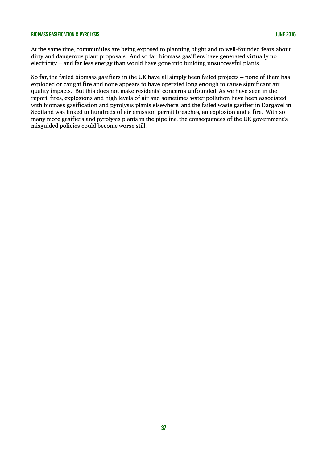At the same time, communities are being exposed to planning blight and to well-founded fears about dirty and dangerous plant proposals. And so far, biomass gasifiers have generated virtually no electricity – and far less energy than would have gone into building unsuccessful plants.

So far, the failed biomass gasifiers in the UK have all simply been failed projects – none of them has exploded or caught fire and none appears to have operated long enough to cause significant air quality impacts. But this does not make residents' concerns unfounded: As we have seen in the report, fires, explosions and high levels of air and sometimes water pollution have been associated with biomass gasification and pyrolysis plants elsewhere, and the failed waste gasifier in Dargavel in Scotland was linked to hundreds of air emission permit breaches, an explosion and a fire. With so many more gasifiers and pyrolysis plants in the pipeline, the consequences of the UK government's misguided policies could become worse still.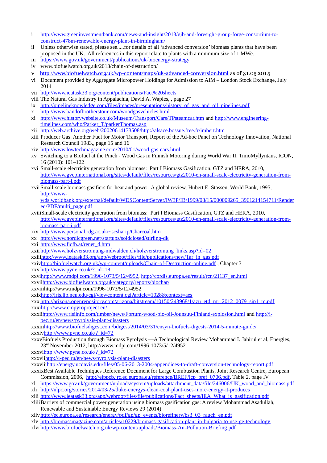- i [http://www.greeninvestmentbank.com/news-and-insight/2013/gib-and-foresight-group-forge-consortium-to](http://www.greeninvestmentbank.com/news-and-insight/2013/gib-and-foresight-group-forge-consortium-to-construct-478m-renewable-energy-plant-in-birmingham/)[construct-478m-renewable-energy-plant-in-birmingham/](http://www.greeninvestmentbank.com/news-and-insight/2013/gib-and-foresight-group-forge-consortium-to-construct-478m-renewable-energy-plant-in-birmingham/)
- ii Unless otherwise stated, please see.....for details of all 'advanced conversion' biomass plants that have been proposed in the UK. All references in this report relate to plants with a minimum size of 1 MWe.
- iii <https://www.gov.uk/government/publications/uk-bioenergy-strategy>
- iv www.biofuelwatch.org.uk/2013/chain-of-destruction/
- v <http://www.biofuelwatch.org.uk/wp-content/maps/uk-advanced-conversion.html>as of 31.05.2015
- vi Document provided by Aggregate Micropower Holdings for Admission to AIM London Stock Exchange, July 2014
- vii <http://www.ieatask33.org/content/publications/Fact%20sheets>
- viii The Natural Gas Industry in Appalachia, David A. Waples, , page 27
- ix [http://pipelineknowledge.com/files/images/presentations/history\\_of\\_gas\\_and\\_oil\\_pipelines.pdf](http://pipelineknowledge.com/files/images/presentations/history_of_gas_and_oil_pipelines.pdf)
- x <http://www.bandofbrotherstour.com/woodgasvehicles.html>
- xi <http://www.historywebsite.co.uk/Museum/Transport/Cars/TPsteamcar.htm>and [http://www.engineering](http://www.engineering-timelines.com/who/Parker_T/parkerThomas.asp)[timelines.com/who/Parker\\_T/parkerThomas.asp](http://www.engineering-timelines.com/who/Parker_T/parkerThomas.asp)
- xii <http://web.archive.org/web/20020614173508/http://alsace.bossue.free.fr/imbert.htm>
- xiii Producer Gas: Another Fuel for Motor Transport, Report of the Ad-hoc Panel on Technology Innovation, National Research Council 1983,, page 15 and 16
- xiv <http://www.lowtechmagazine.com/2010/01/wood-gas-cars.html>
- xv Switching to a Biofuel at the Pinch Wood Gas in Finnish Motoring during World War II, TimoMyllyntaus, ICON, 16 (2010): 101–122
- xvi Small-scale electricity generation from biomass: Part I Biomass Gasification, GTZ and HERA, 2010, [http://www.gvepinternational.org/sites/default/files/resources/gtz2010-en-small-scale-electricity-generation-from](http://www.gvepinternational.org/sites/default/files/resources/gtz2010-en-small-scale-electricity-generation-from-biomass-part-i.pdf)[biomass-part-i.pdf](http://www.gvepinternational.org/sites/default/files/resources/gtz2010-en-small-scale-electricity-generation-from-biomass-part-i.pdf)
- xviiSmall-scale biomass gasifiers for heat and power: A global review, Hubert E. Stassen, World Bank, 1995, [http://www-](http://www-wds.worldbank.org/external/default/WDSContentServer/IW3P/IB/1999/08/15/000009265_3961214154711/Rendered/PDF/multi_page.pdf)

[wds.worldbank.org/external/default/WDSContentServer/IW3P/IB/1999/08/15/000009265\\_3961214154711/Render](http://www-wds.worldbank.org/external/default/WDSContentServer/IW3P/IB/1999/08/15/000009265_3961214154711/Rendered/PDF/multi_page.pdf) [ed/PDF/multi\\_page.pdf](http://www-wds.worldbank.org/external/default/WDSContentServer/IW3P/IB/1999/08/15/000009265_3961214154711/Rendered/PDF/multi_page.pdf)

- xviiiSmall-scale electricity generation from biomass: Part I Biomass Gasification, GTZ and HERA, 2010, [http://www.gvepinternational.org/sites/default/files/resources/gtz2010-en-small-scale-electricity-generation-from](http://www.gvepinternational.org/sites/default/files/resources/gtz2010-en-small-scale-electricity-generation-from-biomass-part-i.pdf)[biomass-part-i.pdf](http://www.gvepinternational.org/sites/default/files/resources/gtz2010-en-small-scale-electricity-generation-from-biomass-part-i.pdf)
- xix <http://www.personal.rdg.ac.uk/~scsharip/Charcoal.htm>
- xx <http://www.nordicgreen.net/startups/soldclosed/stirling-dk>
- xxi [http://www.ficfb.at/renet\\_d.htm](http://www.ficfb.at/renet_d.htm)
- xxii [http://www.holzverstromung-nidwalden.ch/holzverstromung\\_links.asp?id=02](http://www.holzverstromung-nidwalden.ch/holzverstromung_links.asp?id=02)

xxii[ihttp://www.ieatask33.org/app/webroot/files/file/publications/new/Tar\\_in\\_gas.pdf](http://www.ieatask33.org/app/webroot/files/file/publications/new/Tar_in_gas.pdf)

- xxi[vhttp://biofuelwatch.org.uk/wp-content/uploads/Chain-of-Destruction-online.pdf](http://biofuelwatch.org.uk/wp-content/uploads/Chain-of-Destruction-online.pdf) , Chapter 3
- xxv [http://www.pyne.co.uk/?\\_id=18](http://www.pyne.co.uk/?_id=18)

xxv[ihttp://www.mdpi.com/1996-1073/5/12/4952,](http://www.mdpi.com/1996-1073/5/12/4952) [http://cordis.europa.eu/result/rcn/21137\\_en.html](http://cordis.europa.eu/result/rcn/21137_en.html)

xxvi[ihttp://www.biofuelwatch.org.uk/category/reports/biochar/](http://www.biofuelwatch.org.uk/category/reports/biochar/)

xxviiihttp://www.mdpi.com/1996-1073/5/12/4952

xxi[xhttp://iris.lib.neu.edu/cgi/viewcontent.cgi?article=1028&context=aes](http://iris.lib.neu.edu/cgi/viewcontent.cgi?article=1028&context=aes)

xxx [http://arizona.openrepository.com/arizona/bitstream/10150/243968/1/azu\\_etd\\_mr\\_2012\\_0079\\_sip1\\_m.pdf](http://arizona.openrepository.com/arizona/bitstream/10150/243968/1/azu_etd_mr_2012_0079_sip1_m.pdf) xxx[ihttp://www.empyroproject.eu/](http://www.empyroproject.eu/)

xxxi[ihttp://www.risiinfo.com/timber/news/Fortum-wood-bio-oil-Jounsuu-Finland-explosion.html](http://www.risiinfo.com/timber/news/Fortum-wood-bio-oil-Jounsuu-Finland-explosion.html) and [http://i](http://i-pec.ru/en/news/pyrolysis-plant-disasters)[pec.ru/en/news/pyrolysis-plant-disasters](http://i-pec.ru/en/news/pyrolysis-plant-disasters)

xxxii[ihttp://www.biofuelsdigest.com/bdigest/2014/03/31/ensyn-biofuels-digests-2014-5-minute-guide/](http://www.biofuelsdigest.com/bdigest/2014/03/31/ensyn-biofuels-digests-2014-5-minute-guide/) xxxi[vhttp://www.pyne.co.uk/?\\_id=72](http://www.pyne.co.uk/?_id=72)

xxxvBiofuels Production through Biomass Pyrolysis —A Technological Review Mohammad I. Jahirul et al, Energies, 23rd November 2012, http://www.mdpi.com/1996-1073/5/12/4952

xxxv[ihttp://www.pyne.co.uk/?\\_id=72](http://www.pyne.co.uk/?_id=72)

xxxvi[ihttp://i-pec.ru/en/news/pyrolysis-plant-disasters](http://i-pec.ru/en/news/pyrolysis-plant-disasters)

xxxvii[ihttp://energy.ucdavis.edu/files/05-06-2013-2004-appendices-to-draft-conversion-technology-report.pdf](http://energy.ucdavis.edu/files/05-06-2013-2004-appendices-to-draft-conversion-technology-report.pdf)

- xxxixBest Available Techniques Reference Document for Large Combustion Plants, Joint Research Centre, European Commission, 2006, [http://eippcb.jrc.ec.europa.eu/reference/BREF/lcp\\_bref\\_0706.pdf,](http://eippcb.jrc.ec.europa.eu/reference/BREF/lcp_bref_0706.pdf) Table 2, page IV
- xl [https://www.gov.uk/government/uploads/system/uploads/attachment\\_data/file/246006/UK\\_wood\\_and\\_biomass.pdf](https://www.gov.uk/government/uploads/system/uploads/attachment_data/file/246006/UK_wood_and_biomass.pdf) xli <http://nlpc.org/stories/2014/03/25/duke-energys-clean-coal-plant-uses-more-energy-it-produces>
- xlii [http://www.ieatask33.org/app/webroot/files/file/publications/Fact\\_sheets/IEA\\_What\\_is\\_gasification.pdf](http://www.ieatask33.org/app/webroot/files/file/publications/Fact_sheets/IEA_What_is_gasification.pdf)

xliiiBarriers of commercial power generation using biomass gasification gas: A review Mohammad Asadullah, Renewable and Sustainable Energy Reviews 29 (2014)

xliv [http://ec.europa.eu/research/energy/pdf/gp/gp\\_events/biorefinery/bs3\\_03\\_rauch\\_en.pdf](http://ec.europa.eu/research/energy/pdf/gp/gp_events/biorefinery/bs3_03_rauch_en.pdf)

xlv <http://biomassmagazine.com/articles/10229/biomass-gasification-plant-in-bulgaria-to-use-ge-technology> xlvi <http://www.biofuelwatch.org.uk/wp-content/uploads/Biomass-Air-Pollution-Briefing.pdf>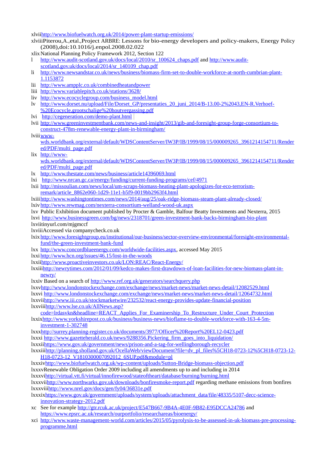xlvi[ihttp://www.biofuelwatch.org.uk/2014/power-plant-startup-emissions/](http://www.biofuelwatch.org.uk/2014/power-plant-startup-emissions/)

- xlviiiPiterou,A.,etal.,Project ARBRE: Lessons for bio-energy developers and policy-makers, Energy Policy (2008),doi:10.1016/j.enpol.2008.02.022
- xlixNational Planning Policy Framework 2012, Section 122
- l [http://www.audit-scotland.gov.uk/docs/local/2010/sr\\_100624\\_chaps.pdf](http://www.audit-scotland.gov.uk/docs/local/2010/sr_100624_chaps.pdf) and [http://www.audit](http://www.audit-scotland.gov.uk/docs/local/2014/sr_140109_chap.pdf)[scotland.gov.uk/docs/local/2014/sr\\_140109\\_chap.pdf](http://www.audit-scotland.gov.uk/docs/local/2014/sr_140109_chap.pdf)
- li [http://www.newsandstar.co.uk/news/business/biomass-firm-set-to-double-workforce-at-north-cumbrian-plant-](http://www.newsandstar.co.uk/news/business/biomass-firm-set-to-double-workforce-at-north-cumbrian-plant-1.1153872)[1.1153872](http://www.newsandstar.co.uk/news/business/biomass-firm-set-to-double-workforce-at-north-cumbrian-plant-1.1153872)
- lii <http://www.ampplc.co.uk/combinedheatandpower>
- liii <http://www.variablepitch.co.uk/stations/3628/>
- liv [http://www.ecocyclegroup.com/business\\_model.html](http://www.ecocyclegroup.com/business_model.html)
- lv [http://www.dorset.nu/upload/File/Dorset\\_GP/presentaties\\_20\\_juni\\_2014/B-13.00-2%2043,EN-R.Verhoef-](http://www.dorset.nu/upload/File/Dorset_GP/presentaties_20_juni_2014/B-13.00-2%2043,EN-R.Verhoef-%20Ecocycle,grootschalige%20houtvergassing.pdf) [%20Ecocycle,grootschalige%20houtvergassing.pdf](http://www.dorset.nu/upload/File/Dorset_GP/presentaties_20_juni_2014/B-13.00-2%2043,EN-R.Verhoef-%20Ecocycle,grootschalige%20houtvergassing.pdf)
- lvi <http://cegeneration.com/demo-plant.html>
- lvii [http://www.greeninvestmentbank.com/news-and-insight/2013/gib-and-foresight-group-forge-consortium-to](http://www.greeninvestmentbank.com/news-and-insight/2013/gib-and-foresight-group-forge-consortium-to-construct-478m-renewable-energy-plant-in-birmingham/)[construct-478m-renewable-energy-plant-in-birmingham/](http://www.greeninvestmentbank.com/news-and-insight/2013/gib-and-foresight-group-forge-consortium-to-construct-478m-renewable-energy-plant-in-birmingham/)
- lviii[www](http://www-wds.worldbank.org/external/default/WDSContentServer/IW3P/IB/1999/08/15/000009265_3961214154711/Rendered/PDF/multi_page.pdf)
	- [wds.worldbank.org/external/default/WDSContentServer/IW3P/IB/1999/08/15/000009265\\_3961214154711/Render](http://www-wds.worldbank.org/external/default/WDSContentServer/IW3P/IB/1999/08/15/000009265_3961214154711/Rendered/PDF/multi_page.pdf) [ed/PDF/multi\\_page.pdf](http://www-wds.worldbank.org/external/default/WDSContentServer/IW3P/IB/1999/08/15/000009265_3961214154711/Rendered/PDF/multi_page.pdf)
- lix [http://www](http://www-wds.worldbank.org/external/default/WDSContentServer/IW3P/IB/1999/08/15/000009265_3961214154711/Rendered/PDF/multi_page.pdf)
	- [wds.worldbank.org/external/default/WDSContentServer/IW3P/IB/1999/08/15/000009265\\_3961214154711/Render](http://www-wds.worldbank.org/external/default/WDSContentServer/IW3P/IB/1999/08/15/000009265_3961214154711/Rendered/PDF/multi_page.pdf) [ed/PDF/multi\\_page.pdf](http://www-wds.worldbank.org/external/default/WDSContentServer/IW3P/IB/1999/08/15/000009265_3961214154711/Rendered/PDF/multi_page.pdf)
- lx <http://www.thestate.com/news/business/article14396069.html>
- lxi <http://www.nrcan.gc.ca/energy/funding/current-funding-programs/cef/4971>
- lxii [http://missoulian.com/news/local/um-scraps-biomass-heating-plant-apologizes-for-eco-terrorism](http://missoulian.com/news/local/um-scraps-biomass-heating-plant-apologizes-for-eco-terrorism-remark/article_8862e060-1d29-11e1-b5f9-0019bb2963f4.html)[remark/article\\_8862e060-1d29-11e1-b5f9-0019bb2963f4.html](http://missoulian.com/news/local/um-scraps-biomass-heating-plant-apologizes-for-eco-terrorism-remark/article_8862e060-1d29-11e1-b5f9-0019bb2963f4.html)
- lxiii<http://www.washingtontimes.com/news/2014/aug/25/oak-ridge-biomass-steam-plant-already-closed/> lxiv <http://www.rewmag.com/nexterra-consortium-welland-wood-uk.aspx>
- lxv Public Exhibition document published by Procter & Gamble, Balfour Beatty Investments and Nexterra, 2015 lxvi <http://www.businessgreen.com/bg/news/2318701/green-investment-bank-backs-birmingham-bio-plant>
- lxviitinyurl.com/mjgmccf
- lxviiiAccessed via companycheck.co.uk
- lxix [http://www.foresightgroup.eu/institutional/our-business/sector-overview-environmental/foresight-environmental](http://www.foresightgroup.eu/institutional/our-business/sector-overview-environmental/foresight-environmental-fund/the-green-investment-bank-fund)[fund/the-green-investment-bank-fund](http://www.foresightgroup.eu/institutional/our-business/sector-overview-environmental/foresight-environmental-fund/the-green-investment-bank-fund)
- lxx [http://www.concordblueenergy.com/worldwide-facilities.aspx,](http://www.concordblueenergy.com/worldwide-facilities.aspx) accessed May 2015
- lxxi <http://www.hcn.org/issues/46.15/lost-in-the-woods>
- lxxi[ihttp://www.proactiveinvestors.co.uk/LON:REAC/React-Energy/](http://www.proactiveinvestors.co.uk/LON:REAC/React-Energy/)
- lxxii[ihttp://newrytimes.com/2012/01/09/kedco-makes-first-drawdown-of-loan-facilities-for-new-biomass-plant-in](http://newrytimes.com/2012/01/09/kedco-makes-first-drawdown-of-loan-facilities-for-new-biomass-plant-in-newry/)[newry/](http://newrytimes.com/2012/01/09/kedco-makes-first-drawdown-of-loan-facilities-for-new-biomass-plant-in-newry/)
- lxxiv Based on a search of<http://www.ref.org.uk/generators/searchquery.php>

lxx[vhttp://www.londonstockexchange.com/exchange/news/market-news/market-news-detail/12082529.html](http://www.londonstockexchange.com/exchange/news/market-news/market-news-detail/12082529.html) lxxvi <http://www.londonstockexchange.com/exchange/news/market-news/market-news-detail/12064732.html> lxxvi[ihttp://www.iii.co.uk/stockmarketwire/232532/react-energy-provides-update-financial-position](http://www.iii.co.uk/stockmarketwire/232532/react-energy-provides-update-financial-position) lxxvii[ihttp://www.lse.co.uk/AllNews.asp?](http://www.lse.co.uk/AllNews.asp?code=lrdasvkn&headline=REACT_Applies_For_Examinership_To_Restructure_Under_Court_Protection)

- [code=lrdasvkn&headline=REACT\\_Applies\\_For\\_Examinership\\_To\\_Restructure\\_Under\\_Court\\_Protection](http://www.lse.co.uk/AllNews.asp?code=lrdasvkn&headline=REACT_Applies_For_Examinership_To_Restructure_Under_Court_Protection) lxxi[xhttp://www.yorkshirepost.co.uk/business/business-news/bioflame-to-double-workforce-with-163-4-5m-](http://www.yorkshirepost.co.uk/business/business-news/bioflame-to-double-workforce-with-163-4-5m-investment-1-302748)
- [investment-1-302748](http://www.yorkshirepost.co.uk/business/business-news/bioflame-to-double-workforce-with-163-4-5m-investment-1-302748)

lxx[xhttp://surrey.planning-register.co.uk/documents/3977/Officer%20Report%20EL12-0423.pdf](http://surrey.planning-register.co.uk/documents/3977/Officer%20Report%20EL12-0423.pdf) lxxxi [http://www.gazetteherald.co.uk/news/9288356.Pickering\\_firm\\_goes\\_into\\_liquidation/](http://www.gazetteherald.co.uk/news/9288356.Pickering_firm_goes_into_liquidation/)

- lxxxi[ihttps://www.gov.uk/government/news/prison-and-a-tag-for-wellingborough-recycler](https://www.gov.uk/government/news/prison-and-a-tag-for-wellingborough-recycler)
- lxxxii[ihttp://planning.sholland.gov.uk/OcellaWeb/viewDocument?file=dv\\_pl\\_files%5CH18-0723-12%5CH18-0723-12-](http://planning.sholland.gov.uk/OcellaWeb/viewDocument?file=dv_pl_files%5CH18-0723-12%5CH18-0723-12-H18-0723-12_V1810300007092012_6SUP.pdf&module=pl) [H18-0723-12\\_V1810300007092012\\_6SUP.pdf&module=pl](http://planning.sholland.gov.uk/OcellaWeb/viewDocument?file=dv_pl_files%5CH18-0723-12%5CH18-0723-12-H18-0723-12_V1810300007092012_6SUP.pdf&module=pl)

lxxxi[vhttp://www.biofuelwatch.org.uk/wp-content/uploads/Sutton-Bridge-biomass-objection.pdf](http://www.biofuelwatch.org.uk/wp-content/uploads/Sutton-Bridge-biomass-objection.pdf) lxxxvRenewable Obligation Order 2009 including all amendments up to and including in 2014 lxxxv[ihttp://virtual.vtt.fi/virtual/innofirewood/stateoftheart/database/burning/burning.html](http://virtual.vtt.fi/virtual/innofirewood/stateoftheart/database/burning/burning.html) lxxxvi[ihttp://www.northwarks.gov.uk/downloads/bonfiresmoke-report.pdf](http://www.northwarks.gov.uk/downloads/bonfiresmoke-report.pdf) regarding methane emissions from bonfires lxxxvii[ihttp://www.nrel.gov/docs/gen/fy04/36831e.pdf](http://www.nrel.gov/docs/gen/fy04/36831e.pdf) lxxxi[xhttps://www.gov.uk/government/uploads/system/uploads/attachment\\_data/file/48335/5107-decc-science-](https://www.gov.uk/government/uploads/system/uploads/attachment_data/file/48335/5107-decc-science-innovation-strategy-2012.pdf)

- [innovation-strategy-2012.pdf](https://www.gov.uk/government/uploads/system/uploads/attachment_data/file/48335/5107-decc-science-innovation-strategy-2012.pdf)
- xc See for example<http://gtr.rcuk.ac.uk/project/E547B667-9B4A-4E0F-9B82-E95DCCA24786>and <https://www.epsrc.ac.uk/research/ourportfolio/researchareas/bioenergy/>
- xci [http://www.waste-management-world.com/articles/2015/05/pyrolysis-to-be-assessed-in-uk-biomass-pre-processing](http://www.waste-management-world.com/articles/2015/05/pyrolysis-to-be-assessed-in-uk-biomass-pre-processing-programme.html)[programme.html](http://www.waste-management-world.com/articles/2015/05/pyrolysis-to-be-assessed-in-uk-biomass-pre-processing-programme.html)